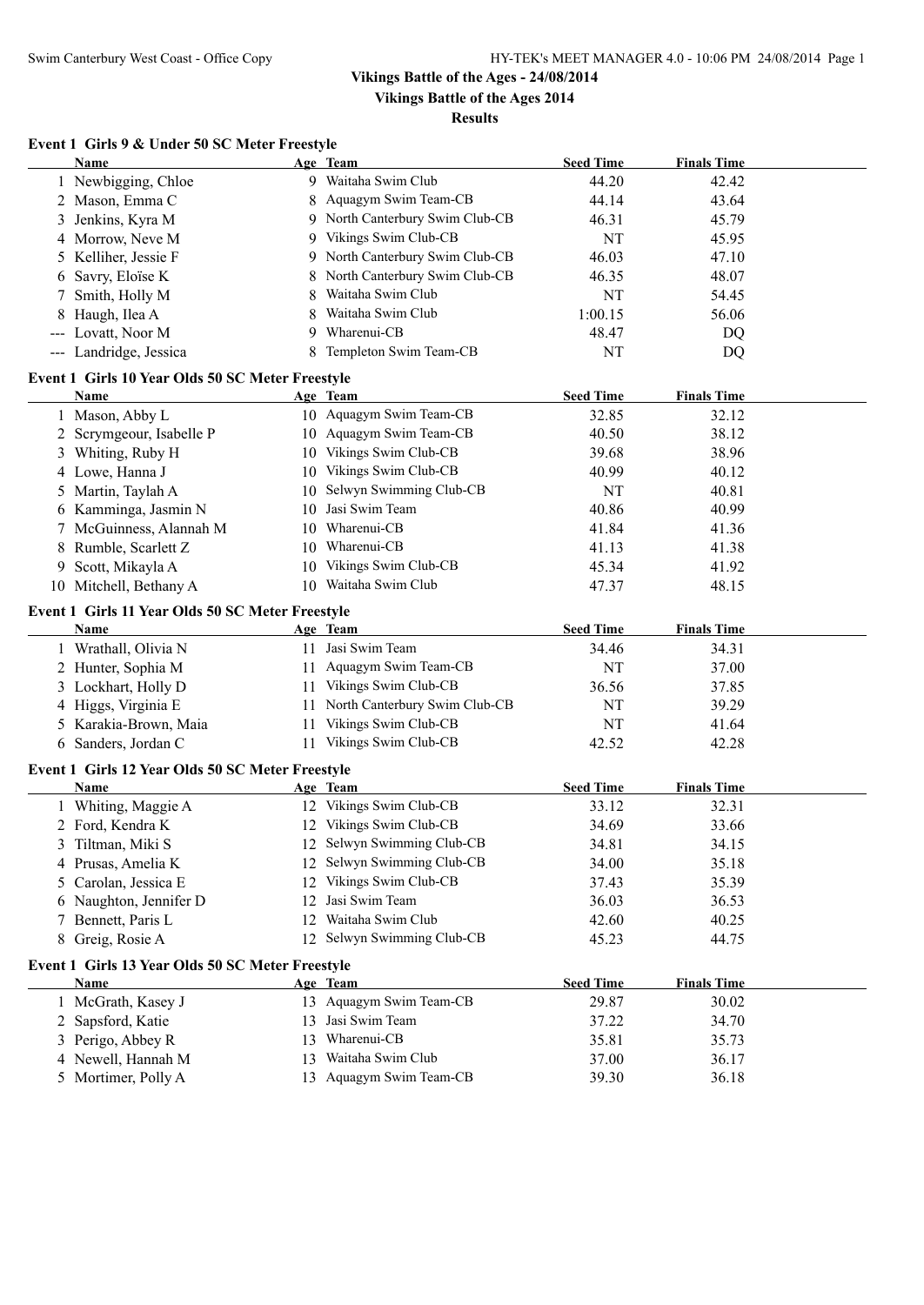**Results**

## **Event 1 Girls 9 & Under 50 SC Meter Freestyle**

|    | Name                                                            |    | Age Team                        | <b>Seed Time</b> | <b>Finals Time</b> |
|----|-----------------------------------------------------------------|----|---------------------------------|------------------|--------------------|
|    | 1 Newbigging, Chloe                                             |    | 9 Waitaha Swim Club             | 44.20            | 42.42              |
|    | 2 Mason, Emma C                                                 | 8  | Aquagym Swim Team-CB            | 44.14            | 43.64              |
| 3  | Jenkins, Kyra M                                                 |    | 9 North Canterbury Swim Club-CB | 46.31            | 45.79              |
|    | 4 Morrow, Neve M                                                |    | 9 Vikings Swim Club-CB          | NT               | 45.95              |
| 5. | Kelliher, Jessie F                                              |    | 9 North Canterbury Swim Club-CB | 46.03            | 47.10              |
|    | 6 Savry, Eloïse K                                               | 8  | North Canterbury Swim Club-CB   | 46.35            | 48.07              |
|    | Smith, Holly M                                                  | 8  | Waitaha Swim Club               | NT               | 54.45              |
| 8  | Haugh, Ilea A                                                   | 8  | Waitaha Swim Club               | 1:00.15          | 56.06              |
|    | --- Lovatt, Noor M                                              | 9  | Wharenui-CB                     | 48.47            | DQ                 |
|    | --- Landridge, Jessica                                          |    | 8 Templeton Swim Team-CB        | NT               | <b>DQ</b>          |
|    | Event 1 Girls 10 Year Olds 50 SC Meter Freestyle                |    |                                 |                  |                    |
|    | Name                                                            |    | Age Team                        | <b>Seed Time</b> | <b>Finals Time</b> |
|    | 1 Mason, Abby L                                                 |    | 10 Aquagym Swim Team-CB         | 32.85            | 32.12              |
|    |                                                                 |    | 10 Aquagym Swim Team-CB         | 40.50            | 38.12              |
|    | 2 Scrymgeour, Isabelle P                                        |    | 10 Vikings Swim Club-CB         |                  |                    |
|    | 3 Whiting, Ruby H                                               |    |                                 | 39.68            | 38.96              |
|    | 4 Lowe, Hanna J                                                 |    | 10 Vikings Swim Club-CB         | 40.99            | 40.12              |
| 5  | Martin, Taylah A                                                |    | 10 Selwyn Swimming Club-CB      | NT               | 40.81              |
|    | 6 Kamminga, Jasmin N                                            | 10 | Jasi Swim Team                  | 40.86            | 40.99              |
|    | 7 McGuinness, Alannah M                                         | 10 | Wharenui-CB                     | 41.84            | 41.36              |
|    | 8 Rumble, Scarlett Z                                            |    | 10 Wharenui-CB                  | 41.13            | 41.38              |
| 9  | Scott, Mikayla A                                                |    | 10 Vikings Swim Club-CB         | 45.34            | 41.92              |
|    | 10 Mitchell, Bethany A                                          |    | 10 Waitaha Swim Club            | 47.37            | 48.15              |
|    | Event 1 Girls 11 Year Olds 50 SC Meter Freestyle                |    |                                 |                  |                    |
|    | Name                                                            |    | Age Team                        | <b>Seed Time</b> | <b>Finals Time</b> |
|    | 1 Wrathall, Olivia N                                            |    | 11 Jasi Swim Team               | 34.46            | 34.31              |
|    | 2 Hunter, Sophia M                                              |    | 11 Aquagym Swim Team-CB         | NT               | 37.00              |
|    | 3 Lockhart, Holly D                                             |    | 11 Vikings Swim Club-CB         | 36.56            | 37.85              |
|    | 4 Higgs, Virginia E                                             | 11 | North Canterbury Swim Club-CB   | NT               | 39.29              |
|    | 5 Karakia-Brown, Maia                                           | 11 | Vikings Swim Club-CB            | NT               | 41.64              |
|    | 6 Sanders, Jordan C                                             |    | 11 Vikings Swim Club-CB         | 42.52            | 42.28              |
|    |                                                                 |    |                                 |                  |                    |
|    | Event 1 Girls 12 Year Olds 50 SC Meter Freestyle<br><b>Name</b> |    | Age Team                        | <b>Seed Time</b> | <b>Finals Time</b> |
|    |                                                                 |    |                                 |                  |                    |
|    | 1 Whiting, Maggie A                                             |    | 12 Vikings Swim Club-CB         | 33.12            | 32.31              |
|    | 2 Ford, Kendra K                                                |    | 12 Vikings Swim Club-CB         | 34.69            | 33.66              |
| 3  | Tiltman, Miki S                                                 |    | 12 Selwyn Swimming Club-CB      | 34.81            | 34.15              |
|    | 4 Prusas, Amelia K                                              |    | 12 Selwyn Swimming Club-CB      | 34.00            | 35.18              |
| 5. | Carolan, Jessica E                                              |    | 12 Vikings Swim Club-CB         | 37.43            | 35.39              |
|    | 6 Naughton, Jennifer D                                          | 12 | Jasi Swim Team                  | 36.03            | 36.53              |
| Τ  | Bennett, Paris L                                                |    | 12 Waitaha Swim Club            | 42.60            | 40.25              |
|    | 8 Greig, Rosie A                                                |    | 12 Selwyn Swimming Club-CB      | 45.23            | 44.75              |
|    | Event 1 Girls 13 Year Olds 50 SC Meter Freestyle                |    |                                 |                  |                    |
|    | <u>Name</u>                                                     |    | Age Team                        | <b>Seed Time</b> | <b>Finals Time</b> |
|    | 1 McGrath, Kasey J                                              |    | 13 Aquagym Swim Team-CB         | 29.87            | 30.02              |
|    | 2 Sapsford, Katie                                               | 13 | Jasi Swim Team                  | 37.22            | 34.70              |
|    | 3 Perigo, Abbey R                                               | 13 | Wharenui-CB                     | 35.81            | 35.73              |
|    | 4 Newell, Hannah M                                              | 13 | Waitaha Swim Club               | 37.00            | 36.17              |
|    | 5 Mortimer, Polly A                                             |    | 13 Aquagym Swim Team-CB         | 39.30            | 36.18              |
|    |                                                                 |    |                                 |                  |                    |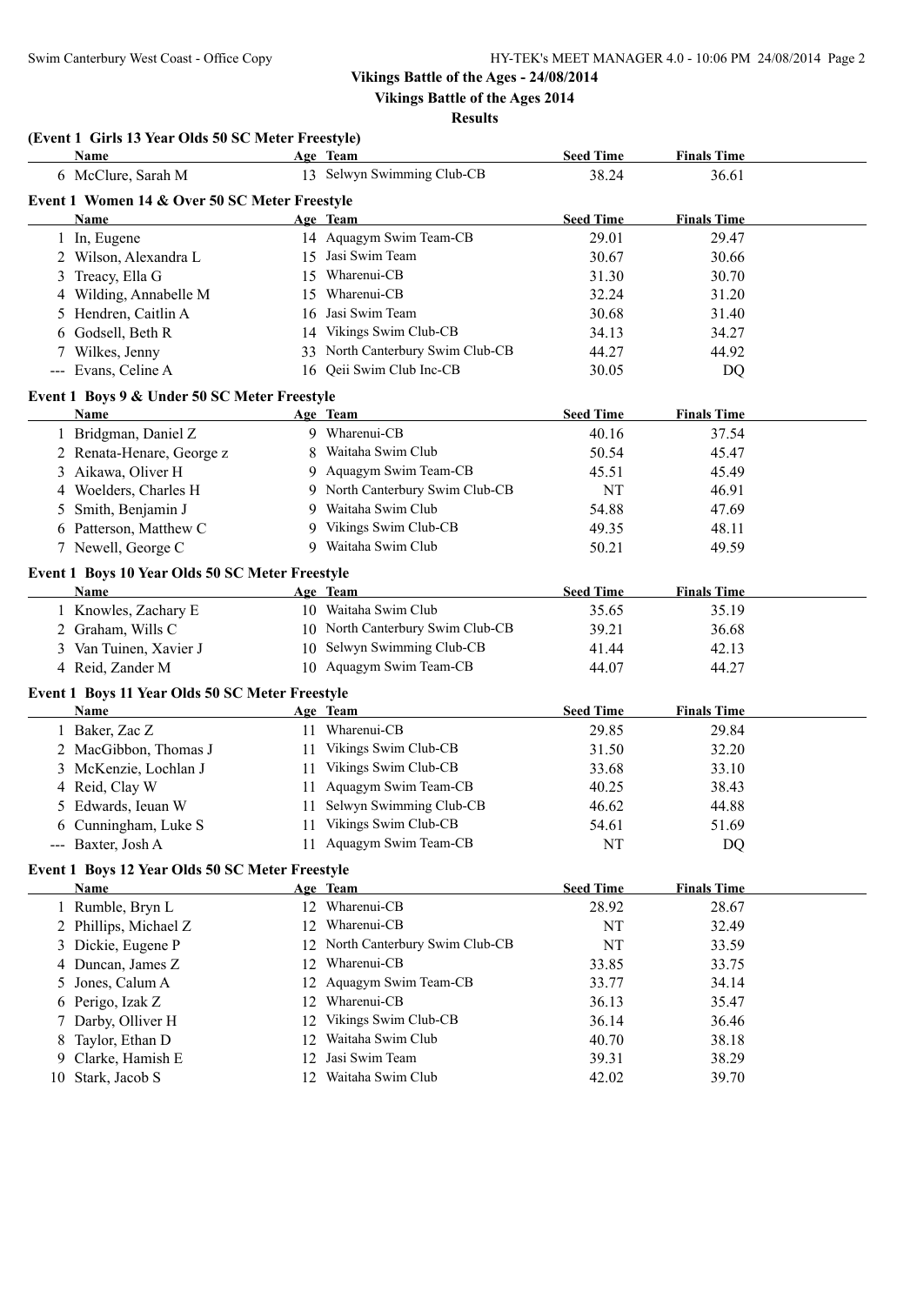| Age Team<br><b>Seed Time</b><br><b>Finals Time</b><br>Name<br>13 Selwyn Swimming Club-CB<br>6 McClure, Sarah M<br>38.24<br>36.61<br>Event 1 Women 14 & Over 50 SC Meter Freestyle<br><b>Seed Time</b><br><b>Finals Time</b><br>Age Team<br>Name<br>14 Aquagym Swim Team-CB<br>29.01<br>1 In, Eugene<br>29.47<br>15 Jasi Swim Team<br>2 Wilson, Alexandra L<br>30.67<br>30.66<br>15 Wharenui-CB<br>3 Treacy, Ella G<br>31.30<br>30.70<br>15 Wharenui-CB<br>4 Wilding, Annabelle M<br>32.24<br>31.20<br>5 Hendren, Caitlin A<br>16 Jasi Swim Team<br>30.68<br>31.40<br>6 Godsell, Beth R<br>14 Vikings Swim Club-CB<br>34.13<br>34.27<br>33 North Canterbury Swim Club-CB<br>7 Wilkes, Jenny<br>44.27<br>44.92<br>--- Evans, Celine A<br>Qeii Swim Club Inc-CB<br>30.05<br>16<br>DQ<br>Event 1 Boys 9 & Under 50 SC Meter Freestyle<br><b>Seed Time</b><br><b>Finals Time</b><br><b>Name</b><br>Age Team<br>9 Wharenui-CB<br>1 Bridgman, Daniel Z<br>40.16<br>37.54<br>Waitaha Swim Club<br>2 Renata-Henare, George z<br>50.54<br>45.47<br>9 Aquagym Swim Team-CB<br>3 Aikawa, Oliver H<br>45.51<br>45.49<br>9 North Canterbury Swim Club-CB<br>4 Woelders, Charles H<br>NT<br>46.91<br>9 Waitaha Swim Club<br>Smith, Benjamin J<br>54.88<br>47.69<br>5<br>6 Patterson, Matthew C<br>9 Vikings Swim Club-CB<br>49.35<br>48.11<br>9 Waitaha Swim Club<br>7 Newell, George C<br>50.21<br>49.59<br>Event 1 Boys 10 Year Olds 50 SC Meter Freestyle<br>Age Team<br><b>Seed Time</b><br><b>Finals Time</b><br><b>Name</b><br>10 Waitaha Swim Club<br>1 Knowles, Zachary E<br>35.65<br>35.19<br>10 North Canterbury Swim Club-CB<br>39.21<br>2 Graham, Wills C<br>36.68<br>10 Selwyn Swimming Club-CB<br>3 Van Tuinen, Xavier J<br>41.44<br>42.13<br>10 Aquagym Swim Team-CB<br>4 Reid, Zander M<br>44.27<br>44.07<br>Event 1 Boys 11 Year Olds 50 SC Meter Freestyle<br><b>Seed Time</b><br>Name<br>Age Team<br><b>Finals Time</b><br>11 Wharenui-CB<br>1 Baker, Zac Z<br>29.85<br>29.84<br>11 Vikings Swim Club-CB<br>2 MacGibbon, Thomas J<br>32.20<br>31.50<br>11 Vikings Swim Club-CB<br>3 McKenzie, Lochlan J<br>33.68<br>33.10<br>Aquagym Swim Team-CB<br>4 Reid, Clay W<br>40.25<br>38.43<br>11-<br>11 Selwyn Swimming Club-CB<br>5 Edwards, Ieuan W<br>46.62<br>44.88 |
|------------------------------------------------------------------------------------------------------------------------------------------------------------------------------------------------------------------------------------------------------------------------------------------------------------------------------------------------------------------------------------------------------------------------------------------------------------------------------------------------------------------------------------------------------------------------------------------------------------------------------------------------------------------------------------------------------------------------------------------------------------------------------------------------------------------------------------------------------------------------------------------------------------------------------------------------------------------------------------------------------------------------------------------------------------------------------------------------------------------------------------------------------------------------------------------------------------------------------------------------------------------------------------------------------------------------------------------------------------------------------------------------------------------------------------------------------------------------------------------------------------------------------------------------------------------------------------------------------------------------------------------------------------------------------------------------------------------------------------------------------------------------------------------------------------------------------------------------------------------------------------------------------------------------------------------------------------------------------------------------------------------------------------------------------------------------------------------------------------------------------------------------------------------------------------------------------------------------------------------------------------------------|
|                                                                                                                                                                                                                                                                                                                                                                                                                                                                                                                                                                                                                                                                                                                                                                                                                                                                                                                                                                                                                                                                                                                                                                                                                                                                                                                                                                                                                                                                                                                                                                                                                                                                                                                                                                                                                                                                                                                                                                                                                                                                                                                                                                                                                                                                        |
|                                                                                                                                                                                                                                                                                                                                                                                                                                                                                                                                                                                                                                                                                                                                                                                                                                                                                                                                                                                                                                                                                                                                                                                                                                                                                                                                                                                                                                                                                                                                                                                                                                                                                                                                                                                                                                                                                                                                                                                                                                                                                                                                                                                                                                                                        |
|                                                                                                                                                                                                                                                                                                                                                                                                                                                                                                                                                                                                                                                                                                                                                                                                                                                                                                                                                                                                                                                                                                                                                                                                                                                                                                                                                                                                                                                                                                                                                                                                                                                                                                                                                                                                                                                                                                                                                                                                                                                                                                                                                                                                                                                                        |
|                                                                                                                                                                                                                                                                                                                                                                                                                                                                                                                                                                                                                                                                                                                                                                                                                                                                                                                                                                                                                                                                                                                                                                                                                                                                                                                                                                                                                                                                                                                                                                                                                                                                                                                                                                                                                                                                                                                                                                                                                                                                                                                                                                                                                                                                        |
|                                                                                                                                                                                                                                                                                                                                                                                                                                                                                                                                                                                                                                                                                                                                                                                                                                                                                                                                                                                                                                                                                                                                                                                                                                                                                                                                                                                                                                                                                                                                                                                                                                                                                                                                                                                                                                                                                                                                                                                                                                                                                                                                                                                                                                                                        |
|                                                                                                                                                                                                                                                                                                                                                                                                                                                                                                                                                                                                                                                                                                                                                                                                                                                                                                                                                                                                                                                                                                                                                                                                                                                                                                                                                                                                                                                                                                                                                                                                                                                                                                                                                                                                                                                                                                                                                                                                                                                                                                                                                                                                                                                                        |
|                                                                                                                                                                                                                                                                                                                                                                                                                                                                                                                                                                                                                                                                                                                                                                                                                                                                                                                                                                                                                                                                                                                                                                                                                                                                                                                                                                                                                                                                                                                                                                                                                                                                                                                                                                                                                                                                                                                                                                                                                                                                                                                                                                                                                                                                        |
|                                                                                                                                                                                                                                                                                                                                                                                                                                                                                                                                                                                                                                                                                                                                                                                                                                                                                                                                                                                                                                                                                                                                                                                                                                                                                                                                                                                                                                                                                                                                                                                                                                                                                                                                                                                                                                                                                                                                                                                                                                                                                                                                                                                                                                                                        |
|                                                                                                                                                                                                                                                                                                                                                                                                                                                                                                                                                                                                                                                                                                                                                                                                                                                                                                                                                                                                                                                                                                                                                                                                                                                                                                                                                                                                                                                                                                                                                                                                                                                                                                                                                                                                                                                                                                                                                                                                                                                                                                                                                                                                                                                                        |
|                                                                                                                                                                                                                                                                                                                                                                                                                                                                                                                                                                                                                                                                                                                                                                                                                                                                                                                                                                                                                                                                                                                                                                                                                                                                                                                                                                                                                                                                                                                                                                                                                                                                                                                                                                                                                                                                                                                                                                                                                                                                                                                                                                                                                                                                        |
|                                                                                                                                                                                                                                                                                                                                                                                                                                                                                                                                                                                                                                                                                                                                                                                                                                                                                                                                                                                                                                                                                                                                                                                                                                                                                                                                                                                                                                                                                                                                                                                                                                                                                                                                                                                                                                                                                                                                                                                                                                                                                                                                                                                                                                                                        |
|                                                                                                                                                                                                                                                                                                                                                                                                                                                                                                                                                                                                                                                                                                                                                                                                                                                                                                                                                                                                                                                                                                                                                                                                                                                                                                                                                                                                                                                                                                                                                                                                                                                                                                                                                                                                                                                                                                                                                                                                                                                                                                                                                                                                                                                                        |
|                                                                                                                                                                                                                                                                                                                                                                                                                                                                                                                                                                                                                                                                                                                                                                                                                                                                                                                                                                                                                                                                                                                                                                                                                                                                                                                                                                                                                                                                                                                                                                                                                                                                                                                                                                                                                                                                                                                                                                                                                                                                                                                                                                                                                                                                        |
|                                                                                                                                                                                                                                                                                                                                                                                                                                                                                                                                                                                                                                                                                                                                                                                                                                                                                                                                                                                                                                                                                                                                                                                                                                                                                                                                                                                                                                                                                                                                                                                                                                                                                                                                                                                                                                                                                                                                                                                                                                                                                                                                                                                                                                                                        |
|                                                                                                                                                                                                                                                                                                                                                                                                                                                                                                                                                                                                                                                                                                                                                                                                                                                                                                                                                                                                                                                                                                                                                                                                                                                                                                                                                                                                                                                                                                                                                                                                                                                                                                                                                                                                                                                                                                                                                                                                                                                                                                                                                                                                                                                                        |
|                                                                                                                                                                                                                                                                                                                                                                                                                                                                                                                                                                                                                                                                                                                                                                                                                                                                                                                                                                                                                                                                                                                                                                                                                                                                                                                                                                                                                                                                                                                                                                                                                                                                                                                                                                                                                                                                                                                                                                                                                                                                                                                                                                                                                                                                        |
|                                                                                                                                                                                                                                                                                                                                                                                                                                                                                                                                                                                                                                                                                                                                                                                                                                                                                                                                                                                                                                                                                                                                                                                                                                                                                                                                                                                                                                                                                                                                                                                                                                                                                                                                                                                                                                                                                                                                                                                                                                                                                                                                                                                                                                                                        |
|                                                                                                                                                                                                                                                                                                                                                                                                                                                                                                                                                                                                                                                                                                                                                                                                                                                                                                                                                                                                                                                                                                                                                                                                                                                                                                                                                                                                                                                                                                                                                                                                                                                                                                                                                                                                                                                                                                                                                                                                                                                                                                                                                                                                                                                                        |
|                                                                                                                                                                                                                                                                                                                                                                                                                                                                                                                                                                                                                                                                                                                                                                                                                                                                                                                                                                                                                                                                                                                                                                                                                                                                                                                                                                                                                                                                                                                                                                                                                                                                                                                                                                                                                                                                                                                                                                                                                                                                                                                                                                                                                                                                        |
|                                                                                                                                                                                                                                                                                                                                                                                                                                                                                                                                                                                                                                                                                                                                                                                                                                                                                                                                                                                                                                                                                                                                                                                                                                                                                                                                                                                                                                                                                                                                                                                                                                                                                                                                                                                                                                                                                                                                                                                                                                                                                                                                                                                                                                                                        |
|                                                                                                                                                                                                                                                                                                                                                                                                                                                                                                                                                                                                                                                                                                                                                                                                                                                                                                                                                                                                                                                                                                                                                                                                                                                                                                                                                                                                                                                                                                                                                                                                                                                                                                                                                                                                                                                                                                                                                                                                                                                                                                                                                                                                                                                                        |
|                                                                                                                                                                                                                                                                                                                                                                                                                                                                                                                                                                                                                                                                                                                                                                                                                                                                                                                                                                                                                                                                                                                                                                                                                                                                                                                                                                                                                                                                                                                                                                                                                                                                                                                                                                                                                                                                                                                                                                                                                                                                                                                                                                                                                                                                        |
|                                                                                                                                                                                                                                                                                                                                                                                                                                                                                                                                                                                                                                                                                                                                                                                                                                                                                                                                                                                                                                                                                                                                                                                                                                                                                                                                                                                                                                                                                                                                                                                                                                                                                                                                                                                                                                                                                                                                                                                                                                                                                                                                                                                                                                                                        |
|                                                                                                                                                                                                                                                                                                                                                                                                                                                                                                                                                                                                                                                                                                                                                                                                                                                                                                                                                                                                                                                                                                                                                                                                                                                                                                                                                                                                                                                                                                                                                                                                                                                                                                                                                                                                                                                                                                                                                                                                                                                                                                                                                                                                                                                                        |
|                                                                                                                                                                                                                                                                                                                                                                                                                                                                                                                                                                                                                                                                                                                                                                                                                                                                                                                                                                                                                                                                                                                                                                                                                                                                                                                                                                                                                                                                                                                                                                                                                                                                                                                                                                                                                                                                                                                                                                                                                                                                                                                                                                                                                                                                        |
|                                                                                                                                                                                                                                                                                                                                                                                                                                                                                                                                                                                                                                                                                                                                                                                                                                                                                                                                                                                                                                                                                                                                                                                                                                                                                                                                                                                                                                                                                                                                                                                                                                                                                                                                                                                                                                                                                                                                                                                                                                                                                                                                                                                                                                                                        |
|                                                                                                                                                                                                                                                                                                                                                                                                                                                                                                                                                                                                                                                                                                                                                                                                                                                                                                                                                                                                                                                                                                                                                                                                                                                                                                                                                                                                                                                                                                                                                                                                                                                                                                                                                                                                                                                                                                                                                                                                                                                                                                                                                                                                                                                                        |
|                                                                                                                                                                                                                                                                                                                                                                                                                                                                                                                                                                                                                                                                                                                                                                                                                                                                                                                                                                                                                                                                                                                                                                                                                                                                                                                                                                                                                                                                                                                                                                                                                                                                                                                                                                                                                                                                                                                                                                                                                                                                                                                                                                                                                                                                        |
|                                                                                                                                                                                                                                                                                                                                                                                                                                                                                                                                                                                                                                                                                                                                                                                                                                                                                                                                                                                                                                                                                                                                                                                                                                                                                                                                                                                                                                                                                                                                                                                                                                                                                                                                                                                                                                                                                                                                                                                                                                                                                                                                                                                                                                                                        |
|                                                                                                                                                                                                                                                                                                                                                                                                                                                                                                                                                                                                                                                                                                                                                                                                                                                                                                                                                                                                                                                                                                                                                                                                                                                                                                                                                                                                                                                                                                                                                                                                                                                                                                                                                                                                                                                                                                                                                                                                                                                                                                                                                                                                                                                                        |
|                                                                                                                                                                                                                                                                                                                                                                                                                                                                                                                                                                                                                                                                                                                                                                                                                                                                                                                                                                                                                                                                                                                                                                                                                                                                                                                                                                                                                                                                                                                                                                                                                                                                                                                                                                                                                                                                                                                                                                                                                                                                                                                                                                                                                                                                        |
|                                                                                                                                                                                                                                                                                                                                                                                                                                                                                                                                                                                                                                                                                                                                                                                                                                                                                                                                                                                                                                                                                                                                                                                                                                                                                                                                                                                                                                                                                                                                                                                                                                                                                                                                                                                                                                                                                                                                                                                                                                                                                                                                                                                                                                                                        |
|                                                                                                                                                                                                                                                                                                                                                                                                                                                                                                                                                                                                                                                                                                                                                                                                                                                                                                                                                                                                                                                                                                                                                                                                                                                                                                                                                                                                                                                                                                                                                                                                                                                                                                                                                                                                                                                                                                                                                                                                                                                                                                                                                                                                                                                                        |
|                                                                                                                                                                                                                                                                                                                                                                                                                                                                                                                                                                                                                                                                                                                                                                                                                                                                                                                                                                                                                                                                                                                                                                                                                                                                                                                                                                                                                                                                                                                                                                                                                                                                                                                                                                                                                                                                                                                                                                                                                                                                                                                                                                                                                                                                        |
| 11 Vikings Swim Club-CB<br>6 Cunningham, Luke S<br>54.61<br>51.69                                                                                                                                                                                                                                                                                                                                                                                                                                                                                                                                                                                                                                                                                                                                                                                                                                                                                                                                                                                                                                                                                                                                                                                                                                                                                                                                                                                                                                                                                                                                                                                                                                                                                                                                                                                                                                                                                                                                                                                                                                                                                                                                                                                                      |
| 11 Aquagym Swim Team-CB<br>--- Baxter, Josh A<br>NT<br>DQ                                                                                                                                                                                                                                                                                                                                                                                                                                                                                                                                                                                                                                                                                                                                                                                                                                                                                                                                                                                                                                                                                                                                                                                                                                                                                                                                                                                                                                                                                                                                                                                                                                                                                                                                                                                                                                                                                                                                                                                                                                                                                                                                                                                                              |
| Event 1 Boys 12 Year Olds 50 SC Meter Freestyle                                                                                                                                                                                                                                                                                                                                                                                                                                                                                                                                                                                                                                                                                                                                                                                                                                                                                                                                                                                                                                                                                                                                                                                                                                                                                                                                                                                                                                                                                                                                                                                                                                                                                                                                                                                                                                                                                                                                                                                                                                                                                                                                                                                                                        |
| <b>Seed Time</b><br><b>Name</b><br>Age Team<br><b>Finals Time</b>                                                                                                                                                                                                                                                                                                                                                                                                                                                                                                                                                                                                                                                                                                                                                                                                                                                                                                                                                                                                                                                                                                                                                                                                                                                                                                                                                                                                                                                                                                                                                                                                                                                                                                                                                                                                                                                                                                                                                                                                                                                                                                                                                                                                      |
| 12 Wharenui-CB<br>1 Rumble, Bryn L<br>28.92<br>28.67                                                                                                                                                                                                                                                                                                                                                                                                                                                                                                                                                                                                                                                                                                                                                                                                                                                                                                                                                                                                                                                                                                                                                                                                                                                                                                                                                                                                                                                                                                                                                                                                                                                                                                                                                                                                                                                                                                                                                                                                                                                                                                                                                                                                                   |
| Wharenui-CB<br>2 Phillips, Michael Z<br>32.49<br>12<br>NT                                                                                                                                                                                                                                                                                                                                                                                                                                                                                                                                                                                                                                                                                                                                                                                                                                                                                                                                                                                                                                                                                                                                                                                                                                                                                                                                                                                                                                                                                                                                                                                                                                                                                                                                                                                                                                                                                                                                                                                                                                                                                                                                                                                                              |
| Dickie, Eugene P<br>North Canterbury Swim Club-CB<br>NT<br>33.59<br>12<br>3                                                                                                                                                                                                                                                                                                                                                                                                                                                                                                                                                                                                                                                                                                                                                                                                                                                                                                                                                                                                                                                                                                                                                                                                                                                                                                                                                                                                                                                                                                                                                                                                                                                                                                                                                                                                                                                                                                                                                                                                                                                                                                                                                                                            |
| Wharenui-CB<br>4 Duncan, James Z<br>33.85<br>33.75<br>12                                                                                                                                                                                                                                                                                                                                                                                                                                                                                                                                                                                                                                                                                                                                                                                                                                                                                                                                                                                                                                                                                                                                                                                                                                                                                                                                                                                                                                                                                                                                                                                                                                                                                                                                                                                                                                                                                                                                                                                                                                                                                                                                                                                                               |
| Aquagym Swim Team-CB<br>33.77<br>Jones, Calum A<br>34.14<br>12<br>5                                                                                                                                                                                                                                                                                                                                                                                                                                                                                                                                                                                                                                                                                                                                                                                                                                                                                                                                                                                                                                                                                                                                                                                                                                                                                                                                                                                                                                                                                                                                                                                                                                                                                                                                                                                                                                                                                                                                                                                                                                                                                                                                                                                                    |
| Wharenui-CB<br>36.13<br>6 Perigo, Izak Z<br>12<br>35.47                                                                                                                                                                                                                                                                                                                                                                                                                                                                                                                                                                                                                                                                                                                                                                                                                                                                                                                                                                                                                                                                                                                                                                                                                                                                                                                                                                                                                                                                                                                                                                                                                                                                                                                                                                                                                                                                                                                                                                                                                                                                                                                                                                                                                |
| Vikings Swim Club-CB<br>Darby, Olliver H<br>36.14<br>36.46<br>12                                                                                                                                                                                                                                                                                                                                                                                                                                                                                                                                                                                                                                                                                                                                                                                                                                                                                                                                                                                                                                                                                                                                                                                                                                                                                                                                                                                                                                                                                                                                                                                                                                                                                                                                                                                                                                                                                                                                                                                                                                                                                                                                                                                                       |
| Waitaha Swim Club<br>Taylor, Ethan D<br>40.70<br>38.18<br>12<br>8                                                                                                                                                                                                                                                                                                                                                                                                                                                                                                                                                                                                                                                                                                                                                                                                                                                                                                                                                                                                                                                                                                                                                                                                                                                                                                                                                                                                                                                                                                                                                                                                                                                                                                                                                                                                                                                                                                                                                                                                                                                                                                                                                                                                      |
| 12 Jasi Swim Team<br>Clarke, Hamish E<br>38.29<br>39.31<br>9.                                                                                                                                                                                                                                                                                                                                                                                                                                                                                                                                                                                                                                                                                                                                                                                                                                                                                                                                                                                                                                                                                                                                                                                                                                                                                                                                                                                                                                                                                                                                                                                                                                                                                                                                                                                                                                                                                                                                                                                                                                                                                                                                                                                                          |
| 12 Waitaha Swim Club<br>10 Stark, Jacob S<br>42.02<br>39.70                                                                                                                                                                                                                                                                                                                                                                                                                                                                                                                                                                                                                                                                                                                                                                                                                                                                                                                                                                                                                                                                                                                                                                                                                                                                                                                                                                                                                                                                                                                                                                                                                                                                                                                                                                                                                                                                                                                                                                                                                                                                                                                                                                                                            |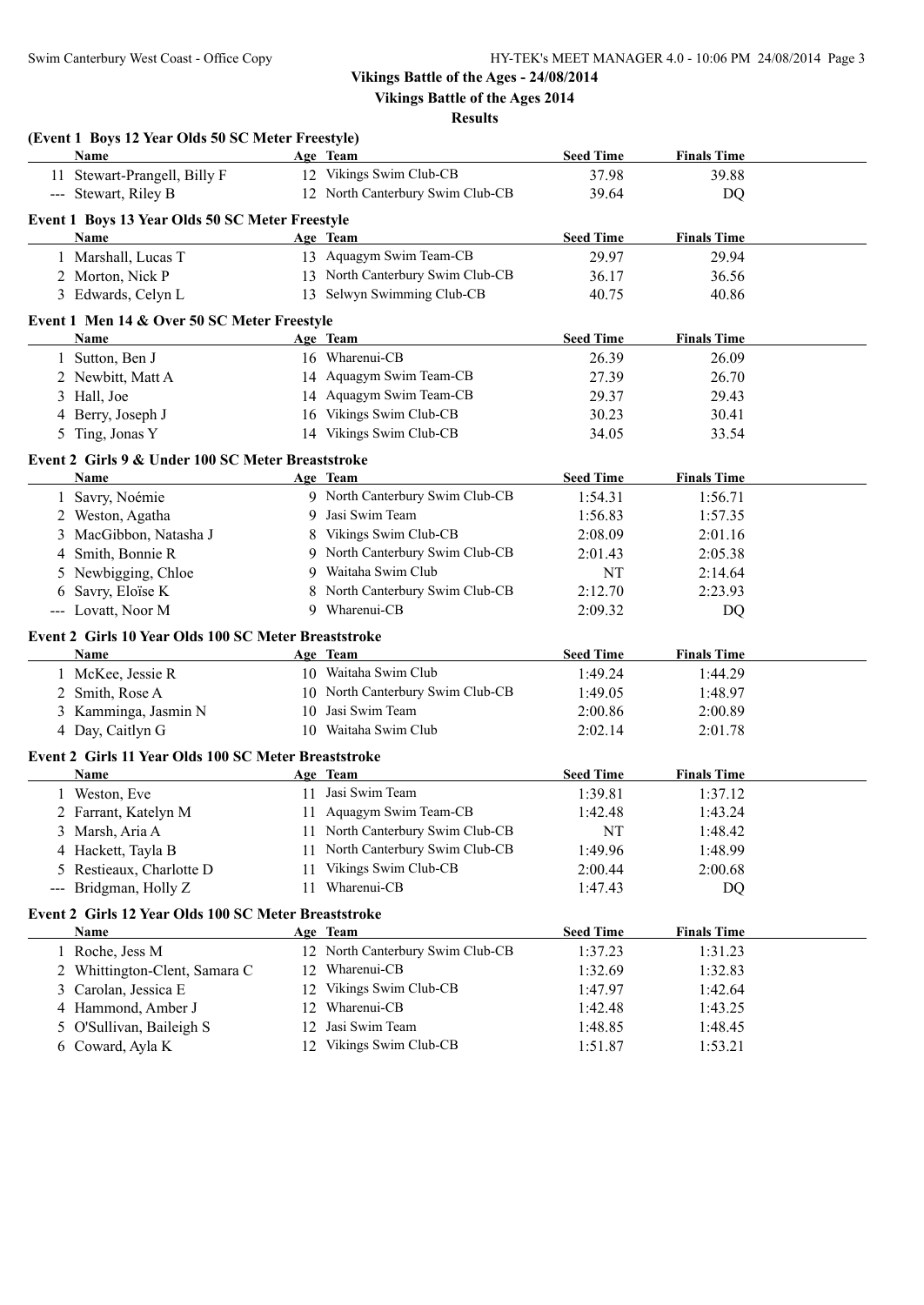|   | (Event 1 Boys 12 Year Olds 50 SC Meter Freestyle)    |    |                                  |                  |                    |  |
|---|------------------------------------------------------|----|----------------------------------|------------------|--------------------|--|
|   | Name                                                 |    | Age Team                         | <b>Seed Time</b> | <b>Finals Time</b> |  |
|   | 11 Stewart-Prangell, Billy F                         |    | 12 Vikings Swim Club-CB          | 37.98            | 39.88              |  |
|   | --- Stewart, Riley B                                 |    | 12 North Canterbury Swim Club-CB | 39.64            | <b>DQ</b>          |  |
|   | Event 1 Boys 13 Year Olds 50 SC Meter Freestyle      |    |                                  |                  |                    |  |
|   | Name                                                 |    | Age Team                         | <b>Seed Time</b> | <b>Finals Time</b> |  |
|   | 1 Marshall, Lucas T                                  |    | 13 Aquagym Swim Team-CB          | 29.97            | 29.94              |  |
|   | 2 Morton, Nick P                                     |    | 13 North Canterbury Swim Club-CB | 36.17            | 36.56              |  |
|   | 3 Edwards, Celyn L                                   |    | 13 Selwyn Swimming Club-CB       | 40.75            | 40.86              |  |
|   | Event 1 Men 14 & Over 50 SC Meter Freestyle          |    |                                  |                  |                    |  |
|   | Name                                                 |    | Age Team                         | <b>Seed Time</b> | <b>Finals Time</b> |  |
|   | 1 Sutton, Ben J                                      |    | 16 Wharenui-CB                   | 26.39            | 26.09              |  |
|   | 2 Newbitt, Matt A                                    |    | 14 Aquagym Swim Team-CB          | 27.39            | 26.70              |  |
|   | 3 Hall, Joe                                          |    | 14 Aquagym Swim Team-CB          | 29.37            | 29.43              |  |
|   | 4 Berry, Joseph J                                    |    | 16 Vikings Swim Club-CB          | 30.23            | 30.41              |  |
|   | 5 Ting, Jonas Y                                      |    | 14 Vikings Swim Club-CB          | 34.05            | 33.54              |  |
|   | Event 2 Girls 9 & Under 100 SC Meter Breaststroke    |    |                                  |                  |                    |  |
|   | Name                                                 |    | Age Team                         | <b>Seed Time</b> | <b>Finals Time</b> |  |
|   | 1 Savry, Noémie                                      |    | 9 North Canterbury Swim Club-CB  | 1:54.31          | 1:56.71            |  |
|   | 2 Weston, Agatha                                     |    | 9 Jasi Swim Team                 | 1:56.83          | 1:57.35            |  |
| 3 | MacGibbon, Natasha J                                 |    | 8 Vikings Swim Club-CB           | 2:08.09          | 2:01.16            |  |
| 4 | Smith, Bonnie R                                      |    | 9 North Canterbury Swim Club-CB  | 2:01.43          | 2:05.38            |  |
| 5 | Newbigging, Chloe                                    |    | 9 Waitaha Swim Club              | NT               | 2:14.64            |  |
|   | 6 Savry, Eloïse K                                    | 8  | North Canterbury Swim Club-CB    | 2:12.70          | 2:23.93            |  |
|   | --- Lovatt, Noor M                                   |    | 9 Wharenui-CB                    | 2:09.32          | DQ                 |  |
|   |                                                      |    |                                  |                  |                    |  |
|   | Event 2 Girls 10 Year Olds 100 SC Meter Breaststroke |    |                                  |                  |                    |  |
|   | Name                                                 |    | Age Team                         | <b>Seed Time</b> | <b>Finals Time</b> |  |
|   | 1 McKee, Jessie R                                    |    | 10 Waitaha Swim Club             | 1:49.24          | 1:44.29            |  |
|   | 2 Smith, Rose A                                      |    | 10 North Canterbury Swim Club-CB | 1:49.05          | 1:48.97            |  |
| 3 | Kamminga, Jasmin N                                   |    | 10 Jasi Swim Team                | 2:00.86          | 2:00.89            |  |
|   | 4 Day, Caitlyn G                                     |    | 10 Waitaha Swim Club             | 2:02.14          | 2:01.78            |  |
|   | Event 2 Girls 11 Year Olds 100 SC Meter Breaststroke |    |                                  |                  |                    |  |
|   | Name                                                 |    | Age Team                         | <b>Seed Time</b> | <b>Finals Time</b> |  |
|   | 1 Weston, Eve                                        |    | 11 Jasi Swim Team                | 1:39.81          | 1:37.12            |  |
|   | 2 Farrant, Katelyn M                                 |    | 11 Aquagym Swim Team-CB          | 1:42.48          | 1:43.24            |  |
| 3 | Marsh, Aria A                                        |    | 11 North Canterbury Swim Club-CB | NT               | 1:48.42            |  |
| 4 | Hackett, Tayla B                                     | 11 | North Canterbury Swim Club-CB    | 1:49.96          | 1:48.99            |  |
| 5 | Restieaux, Charlotte D                               | 11 | Vikings Swim Club-CB             | 2:00.44          | 2:00.68            |  |
|   | --- Bridgman, Holly Z                                | 11 | Wharenui-CB                      | 1:47.43          | DQ                 |  |
|   | Event 2 Girls 12 Year Olds 100 SC Meter Breaststroke |    |                                  |                  |                    |  |
|   | Name                                                 |    | Age Team                         | <b>Seed Time</b> | <b>Finals Time</b> |  |
|   | 1 Roche, Jess M                                      |    | 12 North Canterbury Swim Club-CB | 1:37.23          | 1:31.23            |  |
|   | 2 Whittington-Clent, Samara C                        |    | 12 Wharenui-CB                   | 1:32.69          | 1:32.83            |  |
|   | 3 Carolan, Jessica E                                 |    | 12 Vikings Swim Club-CB          | 1:47.97          | 1:42.64            |  |
|   | 4 Hammond, Amber J                                   |    | 12 Wharenui-CB                   | 1:42.48          | 1:43.25            |  |
| 5 | O'Sullivan, Baileigh S                               |    | 12 Jasi Swim Team                | 1:48.85          | 1:48.45            |  |
|   | 6 Coward, Ayla K                                     |    | 12 Vikings Swim Club-CB          | 1:51.87          | 1:53.21            |  |
|   |                                                      |    |                                  |                  |                    |  |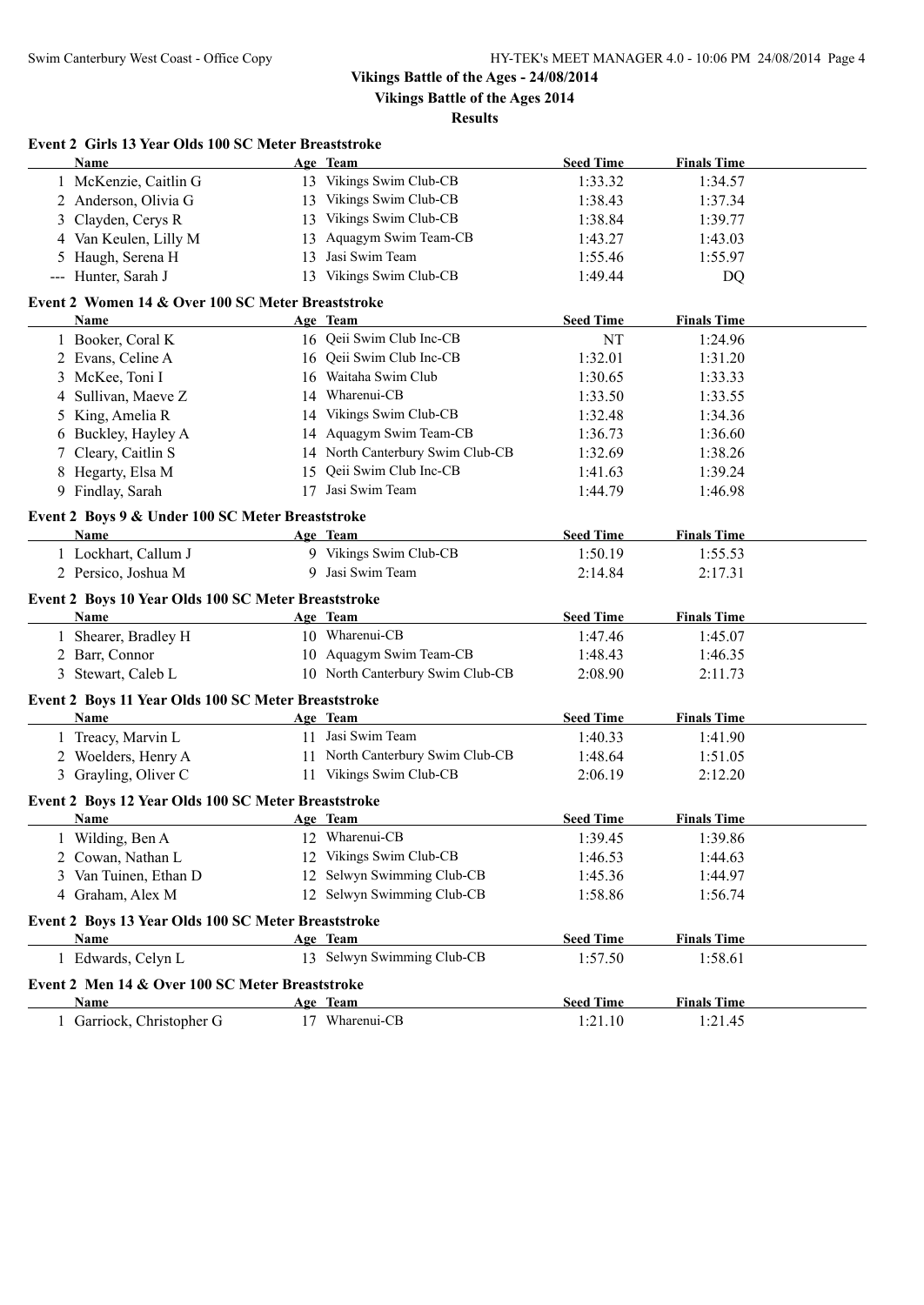|   | Event 2 Girls 13 Year Olds 100 SC Meter Breaststroke     |    |                                  |                  |                    |  |
|---|----------------------------------------------------------|----|----------------------------------|------------------|--------------------|--|
|   | Name                                                     |    | Age Team                         | <b>Seed Time</b> | <b>Finals Time</b> |  |
|   | 1 McKenzie, Caitlin G                                    |    | 13 Vikings Swim Club-CB          | 1:33.32          | 1:34.57            |  |
|   | 2 Anderson, Olivia G                                     |    | 13 Vikings Swim Club-CB          | 1:38.43          | 1:37.34            |  |
|   | 3 Clayden, Cerys R                                       |    | 13 Vikings Swim Club-CB          | 1:38.84          | 1:39.77            |  |
|   | 4 Van Keulen, Lilly M                                    | 13 | Aquagym Swim Team-CB             | 1:43.27          | 1:43.03            |  |
|   | 5 Haugh, Serena H                                        | 13 | Jasi Swim Team                   | 1:55.46          | 1:55.97            |  |
|   | --- Hunter, Sarah J                                      |    | 13 Vikings Swim Club-CB          | 1:49.44          | <b>DQ</b>          |  |
|   | Event 2 Women 14 & Over 100 SC Meter Breaststroke        |    |                                  |                  |                    |  |
|   | Name                                                     |    | Age Team                         | <b>Seed Time</b> | <b>Finals Time</b> |  |
|   | 1 Booker, Coral K                                        |    | 16 Qeii Swim Club Inc-CB         | <b>NT</b>        | 1:24.96            |  |
|   | 2 Evans, Celine A                                        |    | 16 Qeii Swim Club Inc-CB         | 1:32.01          | 1:31.20            |  |
|   | 3 McKee, Toni I                                          |    | 16 Waitaha Swim Club             | 1:30.65          | 1:33.33            |  |
|   | 4 Sullivan, Maeve Z                                      |    | 14 Wharenui-CB                   | 1:33.50          | 1:33.55            |  |
| 5 | King, Amelia R                                           |    | 14 Vikings Swim Club-CB          | 1:32.48          | 1:34.36            |  |
|   | 6 Buckley, Hayley A                                      |    | 14 Aquagym Swim Team-CB          | 1:36.73          | 1:36.60            |  |
|   | 7 Cleary, Caitlin S                                      |    | 14 North Canterbury Swim Club-CB | 1:32.69          | 1:38.26            |  |
|   | 8 Hegarty, Elsa M                                        |    | 15 Qeii Swim Club Inc-CB         | 1:41.63          | 1:39.24            |  |
|   | 9 Findlay, Sarah                                         |    | 17 Jasi Swim Team                | 1:44.79          | 1:46.98            |  |
|   |                                                          |    |                                  |                  |                    |  |
|   | Event 2 Boys 9 & Under 100 SC Meter Breaststroke<br>Name |    | Age Team                         | <b>Seed Time</b> | <b>Finals Time</b> |  |
|   | 1 Lockhart, Callum J                                     |    | 9 Vikings Swim Club-CB           | 1:50.19          | 1:55.53            |  |
|   | 2 Persico, Joshua M                                      |    | 9 Jasi Swim Team                 | 2:14.84          | 2:17.31            |  |
|   |                                                          |    |                                  |                  |                    |  |
|   | Event 2 Boys 10 Year Olds 100 SC Meter Breaststroke      |    |                                  |                  |                    |  |
|   | Name                                                     |    | Age Team                         | <b>Seed Time</b> | <b>Finals Time</b> |  |
|   | 1 Shearer, Bradley H                                     |    | 10 Wharenui-CB                   | 1:47.46          | 1:45.07            |  |
|   | 2 Barr, Connor                                           |    | 10 Aquagym Swim Team-CB          | 1:48.43          | 1:46.35            |  |
|   | 3 Stewart, Caleb L                                       |    | 10 North Canterbury Swim Club-CB | 2:08.90          | 2:11.73            |  |
|   | Event 2 Boys 11 Year Olds 100 SC Meter Breaststroke      |    |                                  |                  |                    |  |
|   | Name                                                     |    | Age Team                         | <b>Seed Time</b> | <b>Finals Time</b> |  |
|   | 1 Treacy, Marvin L                                       |    | 11 Jasi Swim Team                | 1:40.33          | 1:41.90            |  |
|   | 2 Woelders, Henry A                                      |    | 11 North Canterbury Swim Club-CB | 1:48.64          | 1:51.05            |  |
|   | 3 Grayling, Oliver C                                     |    | 11 Vikings Swim Club-CB          | 2:06.19          | 2:12.20            |  |
|   | Event 2 Boys 12 Year Olds 100 SC Meter Breaststroke      |    |                                  |                  |                    |  |
|   | Name                                                     |    | Age Team                         | <b>Seed Time</b> | <b>Finals Time</b> |  |
|   | 1 Wilding, Ben A                                         |    | 12 Wharenui-CB                   | 1:39.45          | 1:39.86            |  |
|   | 2 Cowan, Nathan L                                        |    | 12 Vikings Swim Club-CB          | 1:46.53          | 1:44.63            |  |
| 3 | Van Tuinen, Ethan D                                      | 12 | Selwyn Swimming Club-CB          | 1:45.36          | 1:44.97            |  |
|   | 4 Graham, Alex M                                         |    | 12 Selwyn Swimming Club-CB       | 1:58.86          | 1:56.74            |  |
|   | Event 2 Boys 13 Year Olds 100 SC Meter Breaststroke      |    |                                  |                  |                    |  |
|   | Name                                                     |    | Age Team                         | <b>Seed Time</b> | <b>Finals Time</b> |  |
|   | 1 Edwards, Celyn L                                       |    | 13 Selwyn Swimming Club-CB       | 1:57.50          | 1:58.61            |  |
|   |                                                          |    |                                  |                  |                    |  |
|   | Event 2 Men 14 & Over 100 SC Meter Breaststroke          |    |                                  | <b>Seed Time</b> |                    |  |
|   | Name                                                     |    | Age Team<br>17 Wharenui-CB       |                  | <b>Finals Time</b> |  |
|   | 1 Garriock, Christopher G                                |    |                                  | 1:21.10          | 1:21.45            |  |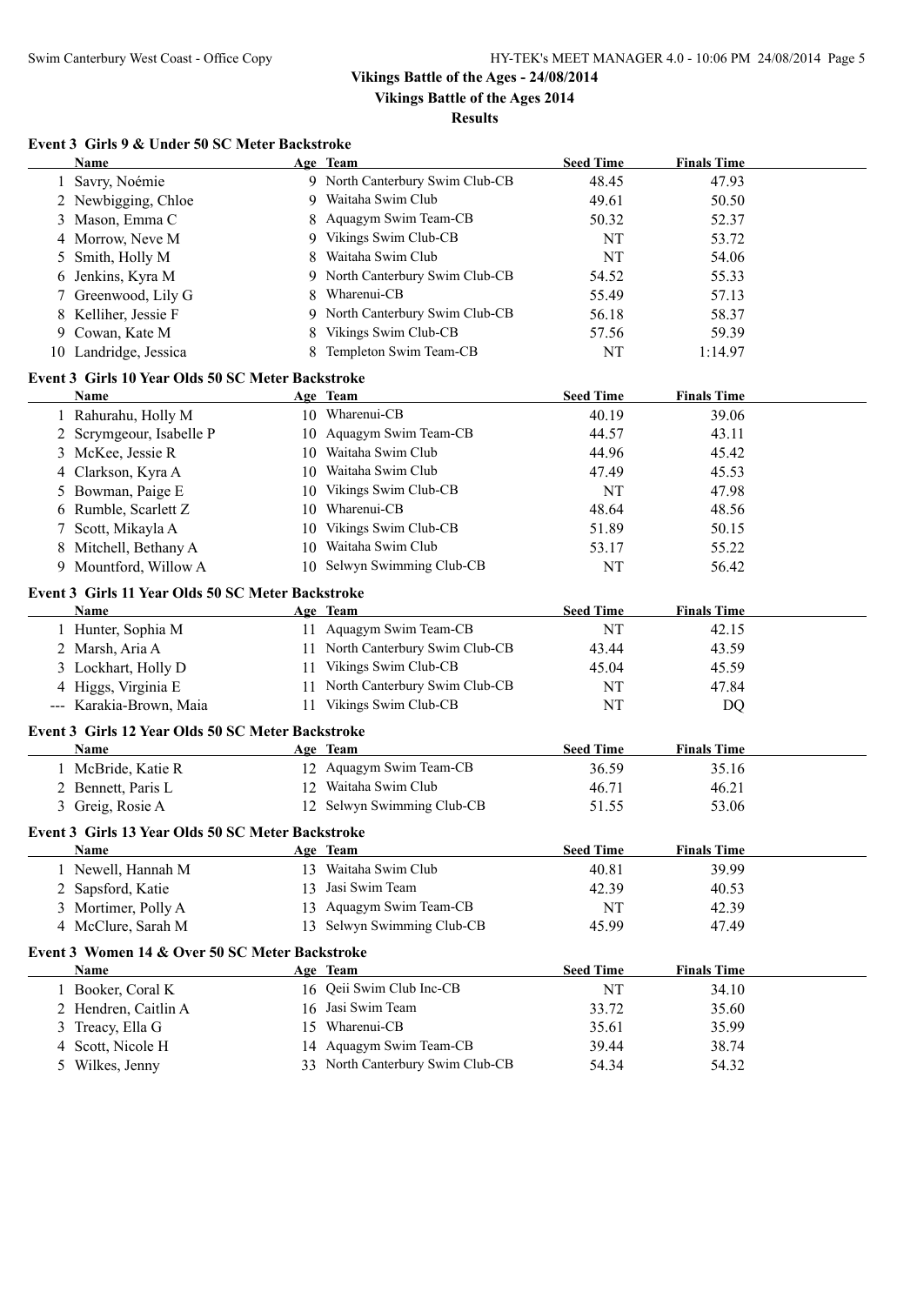**Results**

#### **Event 3 Girls 9 & Under 50 SC Meter Backstroke**

| Name        |                                                   |    | Age Team                                | <b>Seed Time</b> | <b>Finals Time</b> |  |
|-------------|---------------------------------------------------|----|-----------------------------------------|------------------|--------------------|--|
|             | Savry, Noémie                                     |    | 9 North Canterbury Swim Club-CB         | 48.45            | 47.93              |  |
|             | 2 Newbigging, Chloe                               |    | 9 Waitaha Swim Club                     | 49.61            | 50.50              |  |
|             | 3 Mason, Emma C                                   |    | 8 Aquagym Swim Team-CB                  | 50.32            | 52.37              |  |
|             | 4 Morrow, Neve M                                  |    | 9 Vikings Swim Club-CB                  | NT               | 53.72              |  |
| 5           | Smith, Holly M                                    |    | 8 Waitaha Swim Club                     | NT               | 54.06              |  |
|             | 6 Jenkins, Kyra M                                 |    | 9 North Canterbury Swim Club-CB         | 54.52            | 55.33              |  |
|             | 7 Greenwood, Lily G                               |    | 8 Wharenui-CB                           | 55.49            | 57.13              |  |
|             | 8 Kelliher, Jessie F                              |    | 9 North Canterbury Swim Club-CB         | 56.18            | 58.37              |  |
|             | 9 Cowan, Kate M                                   |    | Vikings Swim Club-CB                    | 57.56            | 59.39              |  |
|             | 10 Landridge, Jessica                             |    | 8 Templeton Swim Team-CB                | NT               | 1:14.97            |  |
|             | Event 3 Girls 10 Year Olds 50 SC Meter Backstroke |    |                                         |                  |                    |  |
| Name        |                                                   |    | Age Team                                | <b>Seed Time</b> | <b>Finals Time</b> |  |
|             | 1 Rahurahu, Holly M                               |    | 10 Wharenui-CB                          | 40.19            | 39.06              |  |
|             | 2 Scrymgeour, Isabelle P                          |    | 10 Aquagym Swim Team-CB                 | 44.57            | 43.11              |  |
|             | 3 McKee, Jessie R                                 |    | 10 Waitaha Swim Club                    | 44.96            | 45.42              |  |
|             | 4 Clarkson, Kyra A                                |    | 10 Waitaha Swim Club                    | 47.49            | 45.53              |  |
|             | 5 Bowman, Paige E                                 |    | 10 Vikings Swim Club-CB                 | NT               | 47.98              |  |
|             | 6 Rumble, Scarlett Z                              |    | 10 Wharenui-CB                          | 48.64            | 48.56              |  |
| 7           | Scott, Mikayla A                                  |    | 10 Vikings Swim Club-CB                 | 51.89            | 50.15              |  |
|             | 8 Mitchell, Bethany A                             |    | 10 Waitaha Swim Club                    | 53.17            | 55.22              |  |
|             | 9 Mountford, Willow A                             |    | 10 Selwyn Swimming Club-CB              | NT               | 56.42              |  |
|             | Event 3 Girls 11 Year Olds 50 SC Meter Backstroke |    |                                         |                  |                    |  |
| Name        |                                                   |    | Age Team                                | <b>Seed Time</b> | <b>Finals Time</b> |  |
|             | 1 Hunter, Sophia M                                |    | 11 Aquagym Swim Team-CB                 | NT               | 42.15              |  |
|             | 2 Marsh, Aria A                                   |    | 11 North Canterbury Swim Club-CB        | 43.44            | 43.59              |  |
|             | 3 Lockhart, Holly D                               |    | 11 Vikings Swim Club-CB                 | 45.04            | 45.59              |  |
|             | 4 Higgs, Virginia E                               |    | 11 North Canterbury Swim Club-CB        | NT               | 47.84              |  |
|             | --- Karakia-Brown, Maia                           |    | 11 Vikings Swim Club-CB                 | NT               | DQ                 |  |
|             | Event 3 Girls 12 Year Olds 50 SC Meter Backstroke |    |                                         |                  |                    |  |
| Name        |                                                   |    | Age Team                                | <b>Seed Time</b> | <b>Finals Time</b> |  |
|             | 1 McBride, Katie R                                |    | 12 Aquagym Swim Team-CB                 | 36.59            | 35.16              |  |
|             | 2 Bennett, Paris L                                |    | 12 Waitaha Swim Club                    | 46.71            | 46.21              |  |
|             | 3 Greig, Rosie A                                  |    | 12 Selwyn Swimming Club-CB              | 51.55            | 53.06              |  |
|             |                                                   |    |                                         |                  |                    |  |
|             | Event 3 Girls 13 Year Olds 50 SC Meter Backstroke |    |                                         |                  |                    |  |
| <u>Name</u> |                                                   |    | <u>Age Team</u><br>13 Waitaha Swim Club | <b>Seed Time</b> | <b>Finals Time</b> |  |
|             | 1 Newell, Hannah M                                |    | Jasi Swim Team                          | 40.81            | 39.99              |  |
|             | Sapsford, Katie                                   | 13 | 13 Aquagym Swim Team-CB                 | 42.39            | 40.53              |  |
|             | 3 Mortimer, Polly A                               |    |                                         | NT               | 42.39              |  |
|             | 4 McClure, Sarah M                                |    | 13 Selwyn Swimming Club-CB              | 45.99            | 47.49              |  |
|             | Event 3 Women 14 & Over 50 SC Meter Backstroke    |    |                                         |                  |                    |  |
| Name        |                                                   |    | Age Team                                | <b>Seed Time</b> | <b>Finals Time</b> |  |
|             | 1 Booker, Coral K                                 |    | 16 Qeii Swim Club Inc-CB                | NT               | 34.10              |  |
|             | 2 Hendren, Caitlin A                              |    | 16 Jasi Swim Team                       | 33.72            | 35.60              |  |
| 3           | Treacy, Ella G                                    |    | 15 Wharenui-CB                          | 35.61            | 35.99              |  |
|             | Scott, Nicole H                                   |    | 14 Aquagym Swim Team-CB                 | 39.44            | 38.74              |  |
|             | 5 Wilkes, Jenny                                   |    | 33 North Canterbury Swim Club-CB        | 54.34            | 54.32              |  |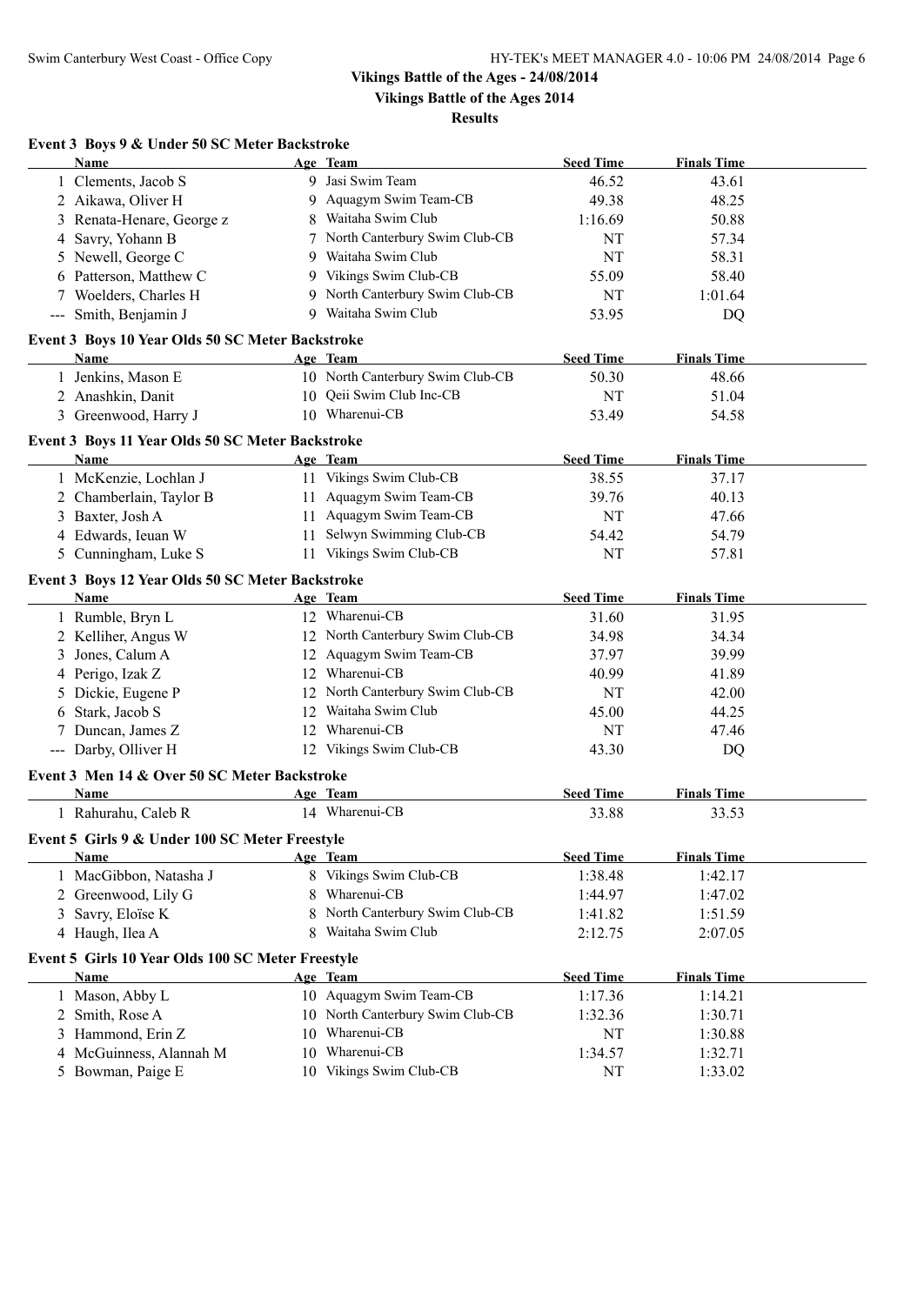**Vikings Battle of the Ages 2014**

#### **Results**

## **Event 3 Boys 9 & Under 50 SC Meter Backstroke**

| Name                                              |    | Age Team                         | <b>Seed Time</b> | <b>Finals Time</b> |  |
|---------------------------------------------------|----|----------------------------------|------------------|--------------------|--|
| 1 Clements, Jacob S                               |    | 9 Jasi Swim Team                 | 46.52            | 43.61              |  |
| 2 Aikawa, Oliver H                                |    | 9 Aquagym Swim Team-CB           | 49.38            | 48.25              |  |
| 3 Renata-Henare, George z                         |    | Waitaha Swim Club                | 1:16.69          | 50.88              |  |
| 4 Savry, Yohann B                                 |    | North Canterbury Swim Club-CB    | NT               | 57.34              |  |
| 5 Newell, George C                                | 9  | Waitaha Swim Club                | NT               | 58.31              |  |
| 6 Patterson, Matthew C                            | 9  | Vikings Swim Club-CB             | 55.09            | 58.40              |  |
| 7 Woelders, Charles H                             |    | 9 North Canterbury Swim Club-CB  | NT               | 1:01.64            |  |
| --- Smith, Benjamin J                             |    | 9 Waitaha Swim Club              | 53.95            | DQ                 |  |
|                                                   |    |                                  |                  |                    |  |
| Event 3 Boys 10 Year Olds 50 SC Meter Backstroke  |    |                                  |                  |                    |  |
| <b>Name</b>                                       |    | Age Team                         | <b>Seed Time</b> | <b>Finals Time</b> |  |
| 1 Jenkins, Mason E                                |    | 10 North Canterbury Swim Club-CB | 50.30            | 48.66              |  |
| 2 Anashkin, Danit                                 |    | 10 Qeii Swim Club Inc-CB         | NT               | 51.04              |  |
| 3 Greenwood, Harry J                              |    | 10 Wharenui-CB                   | 53.49            | 54.58              |  |
| Event 3 Boys 11 Year Olds 50 SC Meter Backstroke  |    |                                  |                  |                    |  |
| <b>Name</b>                                       |    | Age Team                         | <b>Seed Time</b> | <b>Finals Time</b> |  |
| 1 McKenzie, Lochlan J                             |    | 11 Vikings Swim Club-CB          | 38.55            | 37.17              |  |
| 2 Chamberlain, Taylor B                           |    | 11 Aquagym Swim Team-CB          | 39.76            | 40.13              |  |
| 3 Baxter, Josh A                                  |    | 11 Aquagym Swim Team-CB          | NT               | 47.66              |  |
| 4 Edwards, Ieuan W                                | 11 | Selwyn Swimming Club-CB          | 54.42            | 54.79              |  |
| 5 Cunningham, Luke S                              |    | 11 Vikings Swim Club-CB          | NT               | 57.81              |  |
| Event 3 Boys 12 Year Olds 50 SC Meter Backstroke  |    |                                  |                  |                    |  |
| Name                                              |    | Age Team                         | <b>Seed Time</b> | <b>Finals Time</b> |  |
| 1 Rumble, Bryn L                                  |    | 12 Wharenui-CB                   | 31.60            | 31.95              |  |
| 2 Kelliher, Angus W                               |    | 12 North Canterbury Swim Club-CB | 34.98            | 34.34              |  |
| Jones, Calum A<br>3                               |    | 12 Aquagym Swim Team-CB          | 37.97            | 39.99              |  |
| 4 Perigo, Izak Z                                  |    | 12 Wharenui-CB                   | 40.99            | 41.89              |  |
| Dickie, Eugene P<br>5                             |    | 12 North Canterbury Swim Club-CB | NT               | 42.00              |  |
| 6 Stark, Jacob S                                  |    | 12 Waitaha Swim Club             | 45.00            | 44.25              |  |
| 7 Duncan, James Z                                 |    | 12 Wharenui-CB                   | NT               | 47.46              |  |
|                                                   |    | 12 Vikings Swim Club-CB          |                  |                    |  |
| --- Darby, Olliver H                              |    |                                  | 43.30            | DQ                 |  |
| Event 3 Men 14 & Over 50 SC Meter Backstroke      |    |                                  |                  |                    |  |
| <b>Name</b>                                       |    | Age Team                         | <b>Seed Time</b> | <b>Finals Time</b> |  |
| 1 Rahurahu, Caleb R                               |    | 14 Wharenui-CB                   | 33.88            | 33.53              |  |
| Event 5 Girls 9 & Under 100 SC Meter Freestyle    |    |                                  |                  |                    |  |
| <u>Name</u>                                       |    | Age Team                         | <b>Seed Time</b> | <b>Finals Time</b> |  |
| 1 MacGibbon, Natasha J                            |    | 8 Vikings Swim Club-CB           | 1:38.48          | 1:42.17            |  |
| 2 Greenwood, Lily G                               | 8  | Wharenui-CB                      | 1:44.97          | 1:47.02            |  |
| Savry, Eloïse K<br>3                              | 8  | North Canterbury Swim Club-CB    | 1:41.82          | 1:51.59            |  |
| 4 Haugh, Ilea A                                   | 8  | Waitaha Swim Club                | 2:12.75          | 2:07.05            |  |
|                                                   |    |                                  |                  |                    |  |
| Event 5 Girls 10 Year Olds 100 SC Meter Freestyle |    |                                  |                  |                    |  |
| Name                                              |    | Age Team                         | <b>Seed Time</b> | <b>Finals Time</b> |  |
| 1 Mason, Abby L                                   |    | 10 Aquagym Swim Team-CB          | 1:17.36          | 1:14.21            |  |
| 2 Smith, Rose A                                   |    | 10 North Canterbury Swim Club-CB | 1:32.36          | 1:30.71            |  |
| 3 Hammond, Erin Z                                 |    | 10 Wharenui-CB                   | NT               | 1:30.88            |  |
| 4 McGuinness, Alannah M                           |    | 10 Wharenui-CB                   | 1:34.57          | 1:32.71            |  |
| 5 Bowman, Paige E                                 |    | 10 Vikings Swim Club-CB          | $\rm{NT}$        | 1:33.02            |  |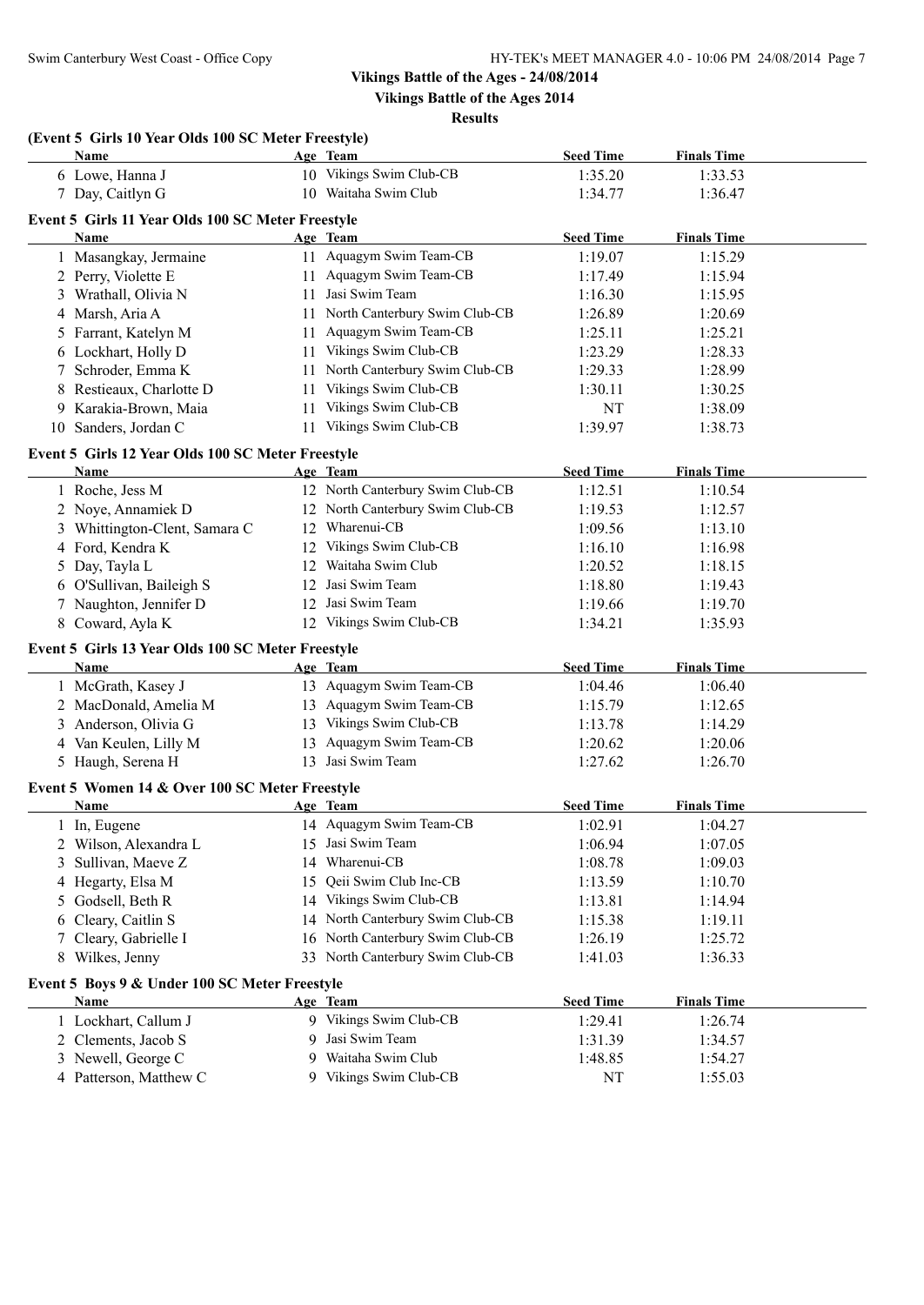| (Event 5 Girls 10 Year Olds 100 SC Meter Freestyle) |    |                                     |                             |                               |  |
|-----------------------------------------------------|----|-------------------------------------|-----------------------------|-------------------------------|--|
| Name                                                |    | Age Team                            | <b>Seed Time</b>            | <b>Finals Time</b>            |  |
| 6 Lowe, Hanna J                                     |    | 10 Vikings Swim Club-CB             | 1:35.20                     | 1:33.53                       |  |
| 7 Day, Caitlyn G                                    |    | 10 Waitaha Swim Club                | 1:34.77                     | 1:36.47                       |  |
| Event 5 Girls 11 Year Olds 100 SC Meter Freestyle   |    |                                     |                             |                               |  |
| Name                                                |    | Age Team                            | <b>Seed Time</b>            | <b>Finals Time</b>            |  |
| 1 Masangkay, Jermaine                               |    | 11 Aquagym Swim Team-CB             | 1:19.07                     | 1:15.29                       |  |
| 2 Perry, Violette E                                 |    | 11 Aquagym Swim Team-CB             | 1:17.49                     | 1:15.94                       |  |
| 3 Wrathall, Olivia N                                |    | 11 Jasi Swim Team                   | 1:16.30                     | 1:15.95                       |  |
| 4 Marsh, Aria A                                     |    | 11 North Canterbury Swim Club-CB    | 1:26.89                     | 1:20.69                       |  |
| 5 Farrant, Katelyn M                                |    | 11 Aquagym Swim Team-CB             | 1:25.11                     | 1:25.21                       |  |
| 6 Lockhart, Holly D                                 |    | 11 Vikings Swim Club-CB             | 1:23.29                     | 1:28.33                       |  |
| Schroder, Emma K<br>7                               |    | 11 North Canterbury Swim Club-CB    | 1:29.33                     | 1:28.99                       |  |
| Restieaux, Charlotte D                              | 11 | Vikings Swim Club-CB                | 1:30.11                     | 1:30.25                       |  |
| 9 Karakia-Brown, Maia                               |    | 11 Vikings Swim Club-CB             | NT                          | 1:38.09                       |  |
| 10 Sanders, Jordan C                                |    | 11 Vikings Swim Club-CB             | 1:39.97                     | 1:38.73                       |  |
| Event 5 Girls 12 Year Olds 100 SC Meter Freestyle   |    |                                     |                             |                               |  |
| Name                                                |    | Age Team                            | <b>Seed Time</b>            | <b>Finals Time</b>            |  |
| 1 Roche, Jess M                                     |    | 12 North Canterbury Swim Club-CB    | 1:12.51                     | 1:10.54                       |  |
| 2 Noye, Annamiek D                                  |    | 12 North Canterbury Swim Club-CB    | 1:19.53                     | 1:12.57                       |  |
| 3 Whittington-Clent, Samara C                       |    | 12 Wharenui-CB                      | 1:09.56                     | 1:13.10                       |  |
| 4 Ford, Kendra K                                    |    | 12 Vikings Swim Club-CB             | 1:16.10                     | 1:16.98                       |  |
| 5 Day, Tayla L                                      |    | 12 Waitaha Swim Club                | 1:20.52                     | 1:18.15                       |  |
| 6 O'Sullivan, Baileigh S                            | 12 | Jasi Swim Team                      | 1:18.80                     | 1:19.43                       |  |
| 7 Naughton, Jennifer D                              | 12 | Jasi Swim Team                      | 1:19.66                     | 1:19.70                       |  |
| 8 Coward, Ayla K                                    |    | 12 Vikings Swim Club-CB             | 1:34.21                     | 1:35.93                       |  |
|                                                     |    |                                     |                             |                               |  |
| Event 5 Girls 13 Year Olds 100 SC Meter Freestyle   |    |                                     |                             |                               |  |
| Name<br>1 McGrath, Kasey J                          |    | Age Team<br>13 Aquagym Swim Team-CB | <b>Seed Time</b><br>1:04.46 | <b>Finals Time</b><br>1:06.40 |  |
|                                                     |    | 13 Aquagym Swim Team-CB             |                             |                               |  |
| 2 MacDonald, Amelia M                               |    | 13 Vikings Swim Club-CB             | 1:15.79                     | 1:12.65                       |  |
| 3 Anderson, Olivia G                                |    | 13 Aquagym Swim Team-CB             | 1:13.78                     | 1:14.29                       |  |
| 4 Van Keulen, Lilly M                               |    | 13 Jasi Swim Team                   | 1:20.62                     | 1:20.06                       |  |
| 5 Haugh, Serena H                                   |    |                                     | 1:27.62                     | 1:26.70                       |  |
| Event 5 Women 14 & Over 100 SC Meter Freestyle      |    |                                     |                             |                               |  |
| Name                                                |    | Age Team                            | <b>Seed Time</b>            | <b>Finals Time</b>            |  |
| 1 In, Eugene                                        |    | 14 Aquagym Swim Team-CB             | 1:02.91                     | 1:04.27                       |  |
| 2 Wilson, Alexandra L                               |    | 15 Jasi Swim Team                   | 1:06.94                     | 1:07.05                       |  |
| 3 Sullivan, Maeve Z                                 |    | 14 Wharenui-CB                      | 1:08.78                     | 1:09.03                       |  |
| 4 Hegarty, Elsa M                                   | 15 | Qeii Swim Club Inc-CB               | 1:13.59                     | 1:10.70                       |  |
| Godsell, Beth R<br>5                                |    | 14 Vikings Swim Club-CB             | 1:13.81                     | 1:14.94                       |  |
| Cleary, Caitlin S<br>6                              |    | 14 North Canterbury Swim Club-CB    | 1:15.38                     | 1:19.11                       |  |
| Cleary, Gabrielle I<br>7                            |    | 16 North Canterbury Swim Club-CB    | 1:26.19                     | 1:25.72                       |  |
| 8 Wilkes, Jenny                                     |    | 33 North Canterbury Swim Club-CB    | 1:41.03                     | 1:36.33                       |  |
| Event 5 Boys 9 & Under 100 SC Meter Freestyle       |    |                                     |                             |                               |  |
| <b>Name</b>                                         |    | Age Team                            | <b>Seed Time</b>            | <b>Finals Time</b>            |  |
| 1 Lockhart, Callum J                                |    | 9 Vikings Swim Club-CB              | 1:29.41                     | 1:26.74                       |  |
| 2 Clements, Jacob S                                 | 9. | Jasi Swim Team                      | 1:31.39                     | 1:34.57                       |  |
| 3 Newell, George C                                  |    | Waitaha Swim Club                   | 1:48.85                     | 1:54.27                       |  |
| 4 Patterson, Matthew C                              |    | 9 Vikings Swim Club-CB              | <b>NT</b>                   | 1:55.03                       |  |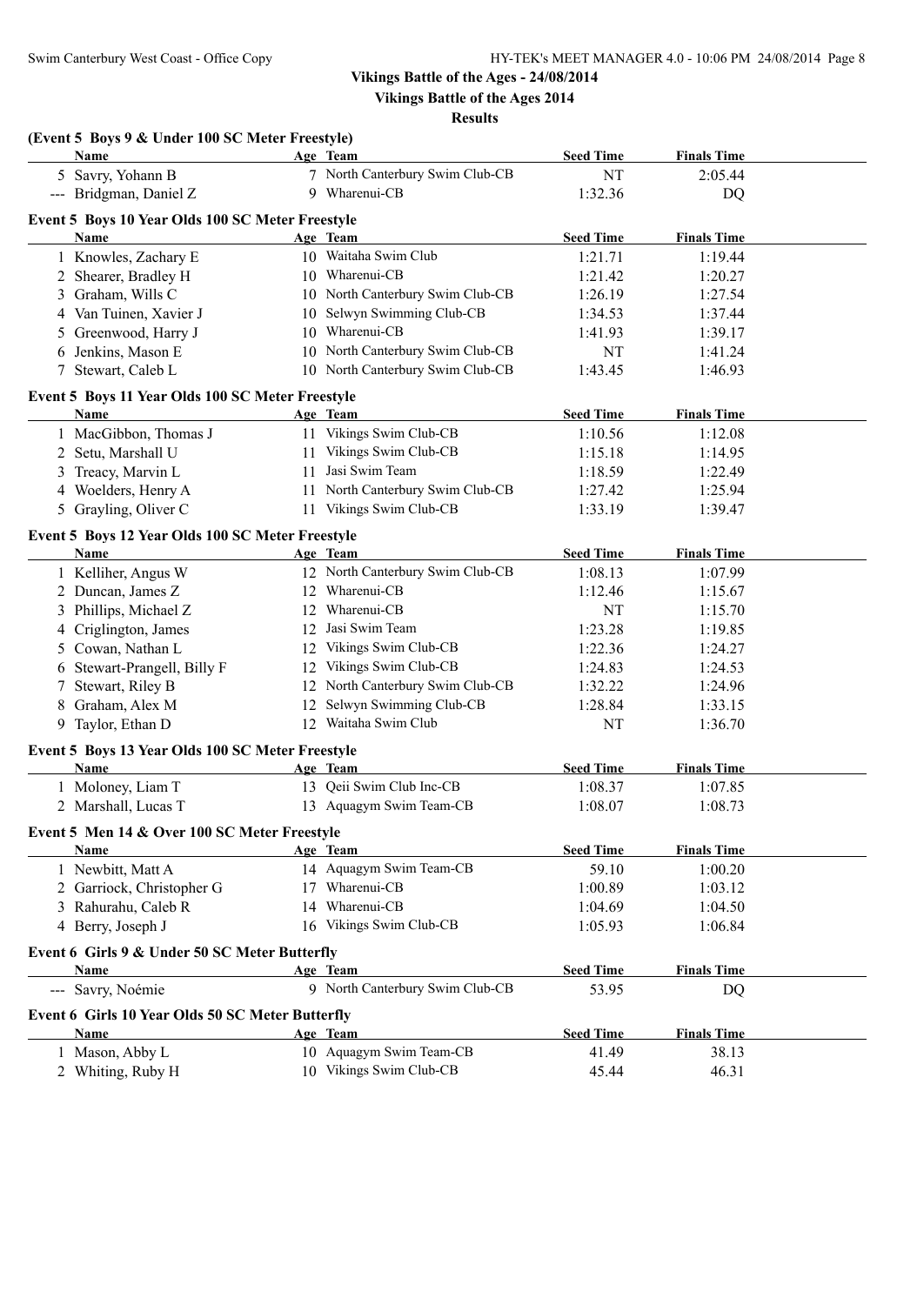|   | (Event 5 Boys 9 & Under 100 SC Meter Freestyle)          |    |                                              |                  |                    |  |
|---|----------------------------------------------------------|----|----------------------------------------------|------------------|--------------------|--|
|   | Name                                                     |    | Age Team                                     | <b>Seed Time</b> | <b>Finals Time</b> |  |
|   | 5 Savry, Yohann B                                        |    | 7 North Canterbury Swim Club-CB              | NT               | 2:05.44            |  |
|   | --- Bridgman, Daniel Z                                   |    | 9 Wharenui-CB                                | 1:32.36          | <b>DQ</b>          |  |
|   | Event 5 Boys 10 Year Olds 100 SC Meter Freestyle         |    |                                              |                  |                    |  |
|   | Name                                                     |    | Age Team                                     | <b>Seed Time</b> | <b>Finals Time</b> |  |
|   | 1 Knowles, Zachary E                                     |    | 10 Waitaha Swim Club                         | 1:21.71          | 1:19.44            |  |
|   | 2 Shearer, Bradley H                                     |    | 10 Wharenui-CB                               | 1:21.42          | 1:20.27            |  |
|   | 3 Graham, Wills C                                        |    | 10 North Canterbury Swim Club-CB             | 1:26.19          | 1:27.54            |  |
| 4 | Van Tuinen, Xavier J                                     |    | 10 Selwyn Swimming Club-CB                   | 1:34.53          | 1:37.44            |  |
| 5 | Greenwood, Harry J                                       |    | 10 Wharenui-CB                               | 1:41.93          | 1:39.17            |  |
|   | 6 Jenkins, Mason E                                       |    | 10 North Canterbury Swim Club-CB             | NT               | 1:41.24            |  |
| 7 | Stewart, Caleb L                                         |    | 10 North Canterbury Swim Club-CB             | 1:43.45          | 1:46.93            |  |
|   | Event 5 Boys 11 Year Olds 100 SC Meter Freestyle         |    |                                              |                  |                    |  |
|   | Name                                                     |    | Age Team                                     | <b>Seed Time</b> | <b>Finals Time</b> |  |
|   | 1 MacGibbon, Thomas J                                    |    | 11 Vikings Swim Club-CB                      | 1:10.56          | 1:12.08            |  |
|   | 2 Setu, Marshall U                                       |    | 11 Vikings Swim Club-CB                      | 1:15.18          | 1:14.95            |  |
|   | 3 Treacy, Marvin L                                       | 11 | Jasi Swim Team                               | 1:18.59          | 1:22.49            |  |
| 4 | Woelders, Henry A                                        |    | 11 North Canterbury Swim Club-CB             | 1:27.42          | 1:25.94            |  |
|   | 5 Grayling, Oliver C                                     |    | 11 Vikings Swim Club-CB                      | 1:33.19          | 1:39.47            |  |
|   |                                                          |    |                                              |                  |                    |  |
|   | Event 5 Boys 12 Year Olds 100 SC Meter Freestyle<br>Name |    |                                              | <b>Seed Time</b> | <b>Finals Time</b> |  |
|   | 1 Kelliher, Angus W                                      |    | Age Team<br>12 North Canterbury Swim Club-CB | 1:08.13          | 1:07.99            |  |
|   |                                                          |    | 12 Wharenui-CB                               |                  |                    |  |
|   | 2 Duncan, James Z                                        |    | 12 Wharenui-CB                               | 1:12.46<br>NT    | 1:15.67<br>1:15.70 |  |
|   | 3 Phillips, Michael Z<br>4 Criglington, James            |    | 12 Jasi Swim Team                            | 1:23.28          | 1:19.85            |  |
|   | 5 Cowan, Nathan L                                        |    | 12 Vikings Swim Club-CB                      | 1:22.36          | 1:24.27            |  |
|   | 6 Stewart-Prangell, Billy F                              |    | 12 Vikings Swim Club-CB                      | 1:24.83          | 1:24.53            |  |
| 7 | Stewart, Riley B                                         |    | 12 North Canterbury Swim Club-CB             | 1:32.22          | 1:24.96            |  |
|   | 8 Graham, Alex M                                         |    | 12 Selwyn Swimming Club-CB                   | 1:28.84          | 1:33.15            |  |
|   | 9 Taylor, Ethan D                                        |    | 12 Waitaha Swim Club                         | NT               | 1:36.70            |  |
|   |                                                          |    |                                              |                  |                    |  |
|   | Event 5 Boys 13 Year Olds 100 SC Meter Freestyle         |    |                                              |                  |                    |  |
|   | Name                                                     |    | Age Team                                     | <b>Seed Time</b> | <b>Finals Time</b> |  |
|   | 1 Moloney, Liam T                                        |    | 13 Qeii Swim Club Inc-CB                     | 1:08.37          | 1:07.85            |  |
|   | 2 Marshall, Lucas T                                      |    | 13 Aquagym Swim Team-CB                      | 1:08.07          | 1:08.73            |  |
|   | Event 5 Men 14 & Over 100 SC Meter Freestyle             |    |                                              |                  |                    |  |
|   | Name                                                     |    | Age Team                                     | <b>Seed Time</b> | <b>Finals Time</b> |  |
|   | 1 Newbitt, Matt A                                        |    | 14 Aquagym Swim Team-CB                      | 59.10            | 1:00.20            |  |
|   | 2 Garriock, Christopher G                                |    | 17 Wharenui-CB                               | 1:00.89          | 1:03.12            |  |
| 3 | Rahurahu, Caleb R                                        |    | 14 Wharenui-CB                               | 1:04.69          | 1:04.50            |  |
|   | 4 Berry, Joseph J                                        |    | 16 Vikings Swim Club-CB                      | 1:05.93          | 1:06.84            |  |
|   | Event 6 Girls 9 & Under 50 SC Meter Butterfly            |    |                                              |                  |                    |  |
|   | Name                                                     |    | Age Team                                     | <b>Seed Time</b> | <b>Finals Time</b> |  |
|   | --- Savry, Noémie                                        |    | 9 North Canterbury Swim Club-CB              | 53.95            | <b>DQ</b>          |  |
|   |                                                          |    |                                              |                  |                    |  |
|   | Event 6 Girls 10 Year Olds 50 SC Meter Butterfly         |    |                                              |                  |                    |  |
|   | Name                                                     |    | Age Team<br>10 Aquagym Swim Team-CB          | <b>Seed Time</b> | <b>Finals Time</b> |  |
|   | 1 Mason, Abby L                                          |    | 10 Vikings Swim Club-CB                      | 41.49            | 38.13              |  |
|   | 2 Whiting, Ruby H                                        |    |                                              | 45.44            | 46.31              |  |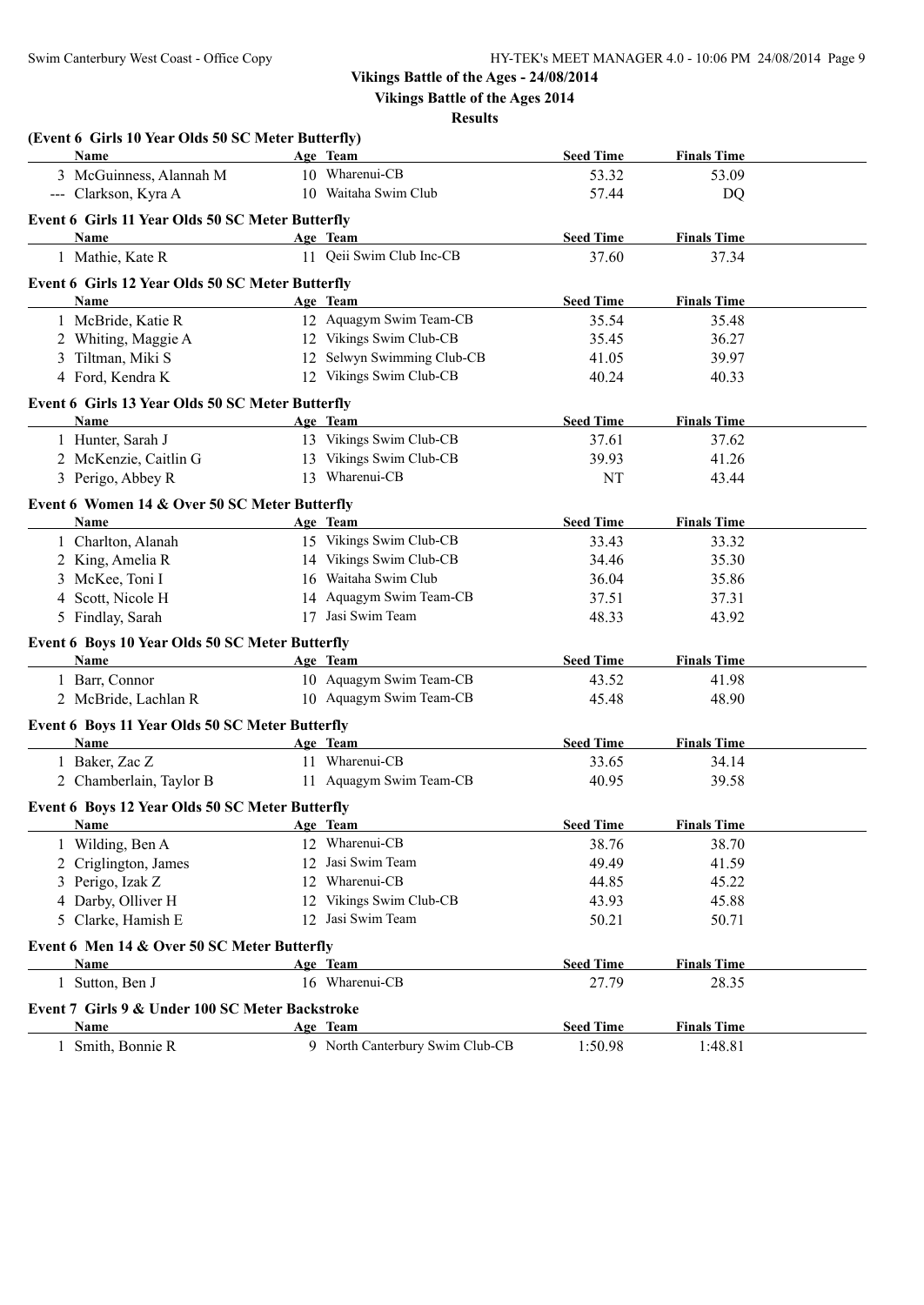**Vikings Battle of the Ages 2014**

| (Event 6 Girls 10 Year Olds 50 SC Meter Butterfly)      |          |                                 |                  |                    |  |
|---------------------------------------------------------|----------|---------------------------------|------------------|--------------------|--|
| Name                                                    | Age Team |                                 | <b>Seed Time</b> | <b>Finals Time</b> |  |
| 3 McGuinness, Alannah M                                 |          | 10 Wharenui-CB                  | 53.32            | 53.09              |  |
| --- Clarkson, Kyra A                                    |          | 10 Waitaha Swim Club            | 57.44            | <b>DQ</b>          |  |
| Event 6 Girls 11 Year Olds 50 SC Meter Butterfly        |          |                                 |                  |                    |  |
| Name                                                    | Age Team |                                 | <b>Seed Time</b> | <b>Finals Time</b> |  |
| 1 Mathie, Kate R                                        |          | 11 Qeii Swim Club Inc-CB        | 37.60            | 37.34              |  |
| Event 6 Girls 12 Year Olds 50 SC Meter Butterfly        |          |                                 |                  |                    |  |
| Name                                                    | Age Team |                                 | <b>Seed Time</b> | <b>Finals Time</b> |  |
| 1 McBride, Katie R                                      |          | 12 Aquagym Swim Team-CB         | 35.54            | 35.48              |  |
| 2 Whiting, Maggie A                                     |          | 12 Vikings Swim Club-CB         | 35.45            | 36.27              |  |
| 3 Tiltman, Miki S                                       |          | 12 Selwyn Swimming Club-CB      | 41.05            | 39.97              |  |
| 4 Ford, Kendra K                                        |          | 12 Vikings Swim Club-CB         | 40.24            | 40.33              |  |
| Event 6 Girls 13 Year Olds 50 SC Meter Butterfly        |          |                                 |                  |                    |  |
| Name                                                    | Age Team |                                 | <b>Seed Time</b> | <b>Finals Time</b> |  |
| 1 Hunter, Sarah J                                       |          | 13 Vikings Swim Club-CB         | 37.61            | 37.62              |  |
| 2 McKenzie, Caitlin G                                   |          | 13 Vikings Swim Club-CB         | 39.93            | 41.26              |  |
| 3 Perigo, Abbey R                                       |          | 13 Wharenui-CB                  | NT               | 43.44              |  |
| Event 6 Women 14 & Over 50 SC Meter Butterfly           |          |                                 |                  |                    |  |
| Name                                                    | Age Team |                                 | <b>Seed Time</b> | <b>Finals Time</b> |  |
| 1 Charlton, Alanah                                      |          | 15 Vikings Swim Club-CB         | 33.43            | 33.32              |  |
| 2 King, Amelia R                                        |          | 14 Vikings Swim Club-CB         | 34.46            | 35.30              |  |
| 3 McKee, Toni I                                         |          | 16 Waitaha Swim Club            | 36.04            | 35.86              |  |
| 4 Scott, Nicole H                                       |          | 14 Aquagym Swim Team-CB         | 37.51            | 37.31              |  |
| 5 Findlay, Sarah                                        |          | 17 Jasi Swim Team               | 48.33            | 43.92              |  |
| Event 6 Boys 10 Year Olds 50 SC Meter Butterfly         |          |                                 |                  |                    |  |
| <b>Name</b>                                             | Age Team |                                 | <b>Seed Time</b> | <b>Finals Time</b> |  |
| 1 Barr, Connor                                          |          | 10 Aquagym Swim Team-CB         | 43.52            | 41.98              |  |
| 2 McBride, Lachlan R                                    |          | 10 Aquagym Swim Team-CB         | 45.48            | 48.90              |  |
|                                                         |          |                                 |                  |                    |  |
| Event 6 Boys 11 Year Olds 50 SC Meter Butterfly<br>Name |          |                                 |                  |                    |  |
|                                                         | Age Team | 11 Wharenui-CB                  | <b>Seed Time</b> | <b>Finals Time</b> |  |
| 1 Baker, Zac Z                                          |          |                                 | 33.65            | 34.14              |  |
| 2 Chamberlain, Taylor B                                 |          | 11 Aquagym Swim Team-CB         | 40.95            | 39.58              |  |
| Event 6 Boys 12 Year Olds 50 SC Meter Butterfly         |          |                                 |                  |                    |  |
| Name Age Team                                           |          |                                 | <b>Seed Time</b> | <b>Finals Time</b> |  |
| 1 Wilding, Ben A                                        |          | 12 Wharenui-CB                  | 38.76            | 38.70              |  |
| 2 Criglington, James                                    |          | 12 Jasi Swim Team               | 49.49            | 41.59              |  |
| 3 Perigo, Izak Z                                        |          | 12 Wharenui-CB                  | 44.85            | 45.22              |  |
| 4 Darby, Olliver H                                      |          | 12 Vikings Swim Club-CB         | 43.93            | 45.88              |  |
| 5 Clarke, Hamish E                                      |          | 12 Jasi Swim Team               | 50.21            | 50.71              |  |
| Event 6 Men 14 & Over 50 SC Meter Butterfly             |          |                                 |                  |                    |  |
| Name                                                    | Age Team |                                 | <b>Seed Time</b> | <b>Finals Time</b> |  |
| 1 Sutton, Ben J                                         |          | 16 Wharenui-CB                  | 27.79            | 28.35              |  |
| Event 7 Girls 9 & Under 100 SC Meter Backstroke         |          |                                 |                  |                    |  |
| <b>Name</b>                                             | Age Team |                                 | <b>Seed Time</b> | <b>Finals Time</b> |  |
| 1 Smith, Bonnie R                                       |          | 9 North Canterbury Swim Club-CB | 1:50.98          | 1:48.81            |  |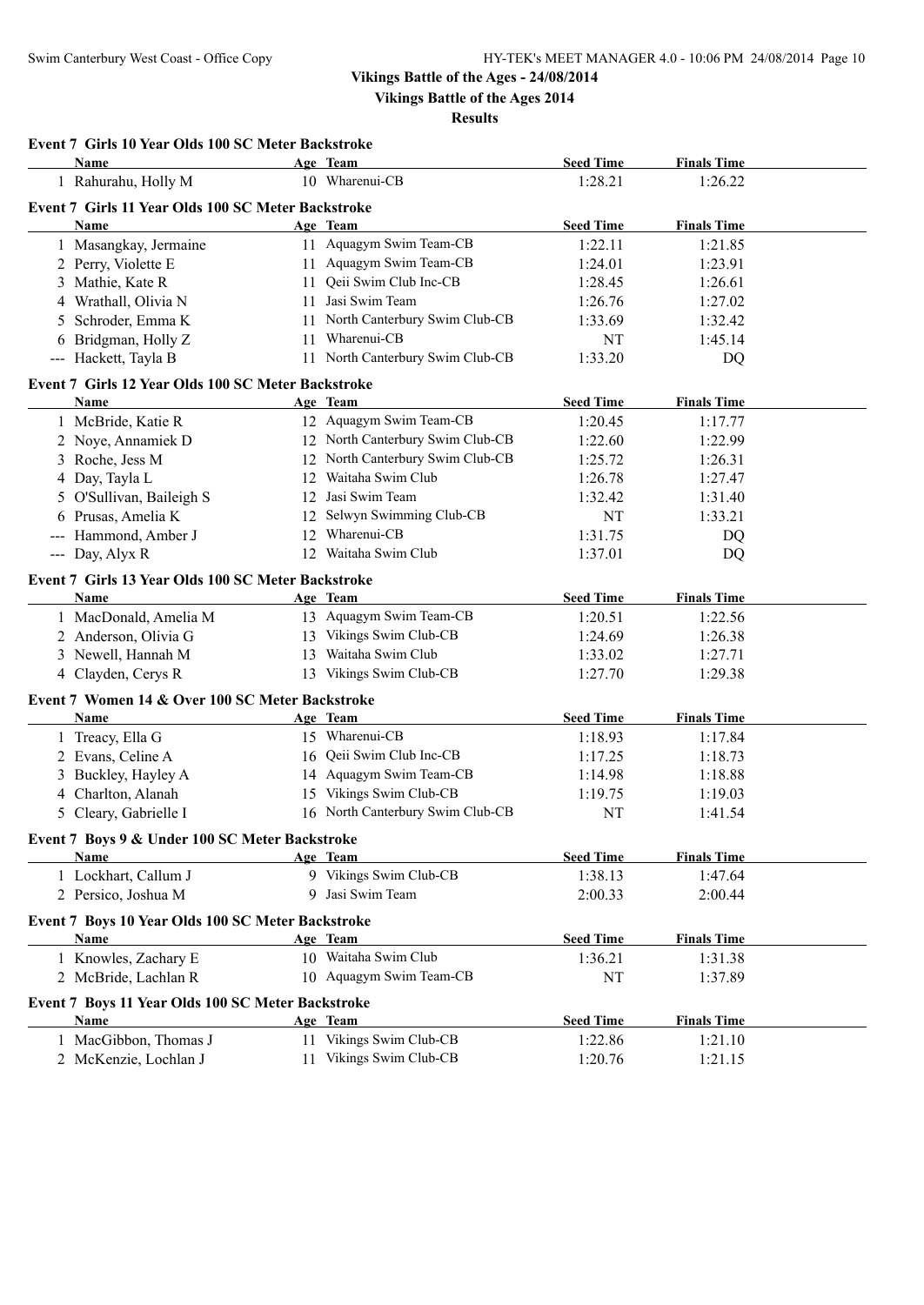**Vikings Battle of the Ages 2014**

|   | Event 7 Girls 10 Year Olds 100 SC Meter Backstroke<br>Name |    | Age Team                         | <b>Seed Time</b> | <b>Finals Time</b> |  |
|---|------------------------------------------------------------|----|----------------------------------|------------------|--------------------|--|
|   | 1 Rahurahu, Holly M                                        |    | 10 Wharenui-CB                   | 1:28.21          | 1:26.22            |  |
|   | Event 7 Girls 11 Year Olds 100 SC Meter Backstroke         |    |                                  |                  |                    |  |
|   | Name                                                       |    | Age Team                         | <b>Seed Time</b> | <b>Finals Time</b> |  |
|   | 1 Masangkay, Jermaine                                      |    | 11 Aquagym Swim Team-CB          | 1:22.11          | 1:21.85            |  |
|   | 2 Perry, Violette E                                        |    | 11 Aquagym Swim Team-CB          | 1:24.01          | 1:23.91            |  |
|   | 3 Mathie, Kate R                                           |    | 11 Qeii Swim Club Inc-CB         | 1:28.45          | 1:26.61            |  |
|   | 4 Wrathall, Olivia N                                       |    | 11 Jasi Swim Team                | 1:26.76          | 1:27.02            |  |
| 5 | Schroder, Emma K                                           |    | 11 North Canterbury Swim Club-CB | 1:33.69          | 1:32.42            |  |
|   | 6 Bridgman, Holly Z                                        |    | 11 Wharenui-CB                   | NT               | 1:45.14            |  |
|   | --- Hackett, Tayla B                                       |    | 11 North Canterbury Swim Club-CB | 1:33.20          | DQ                 |  |
|   |                                                            |    |                                  |                  |                    |  |
|   | Event 7 Girls 12 Year Olds 100 SC Meter Backstroke         |    |                                  |                  |                    |  |
|   | Name                                                       |    | Age Team                         | <b>Seed Time</b> | <b>Finals Time</b> |  |
|   | 1 McBride, Katie R                                         |    | 12 Aquagym Swim Team-CB          | 1:20.45          | 1:17.77            |  |
|   | 2 Noye, Annamiek D                                         |    | 12 North Canterbury Swim Club-CB | 1:22.60          | 1:22.99            |  |
|   | 3 Roche, Jess M                                            |    | 12 North Canterbury Swim Club-CB | 1:25.72          | 1:26.31            |  |
|   | 4 Day, Tayla L                                             |    | 12 Waitaha Swim Club             | 1:26.78          | 1:27.47            |  |
|   | 5 O'Sullivan, Baileigh S                                   | 12 | Jasi Swim Team                   | 1:32.42          | 1:31.40            |  |
|   | 6 Prusas, Amelia K                                         | 12 | Selwyn Swimming Club-CB          | NT               | 1:33.21            |  |
|   | --- Hammond, Amber J                                       | 12 | Wharenui-CB                      | 1:31.75          | DQ                 |  |
|   | --- Day, Alyx R                                            |    | 12 Waitaha Swim Club             | 1:37.01          | DQ                 |  |
|   | Event 7 Girls 13 Year Olds 100 SC Meter Backstroke         |    |                                  |                  |                    |  |
|   | Name                                                       |    | Age Team                         | <b>Seed Time</b> | <b>Finals Time</b> |  |
|   | 1 MacDonald, Amelia M                                      |    | 13 Aquagym Swim Team-CB          | 1:20.51          | 1:22.56            |  |
|   | 2 Anderson, Olivia G                                       |    | 13 Vikings Swim Club-CB          | 1:24.69          | 1:26.38            |  |
|   | 3 Newell, Hannah M                                         |    | 13 Waitaha Swim Club             | 1:33.02          | 1:27.71            |  |
|   | 4 Clayden, Cerys R                                         |    | 13 Vikings Swim Club-CB          | 1:27.70          | 1:29.38            |  |
|   | Event 7 Women 14 & Over 100 SC Meter Backstroke            |    |                                  |                  |                    |  |
|   | Name                                                       |    | Age Team                         | <b>Seed Time</b> | <b>Finals Time</b> |  |
|   | 1 Treacy, Ella G                                           |    | 15 Wharenui-CB                   | 1:18.93          | 1:17.84            |  |
|   | 2 Evans, Celine A                                          |    | 16 Qeii Swim Club Inc-CB         | 1:17.25          | 1:18.73            |  |
|   | 3 Buckley, Hayley A                                        |    | 14 Aquagym Swim Team-CB          | 1:14.98          | 1:18.88            |  |
|   |                                                            |    | 15 Vikings Swim Club-CB          |                  |                    |  |
|   | 4 Charlton, Alanah                                         |    | 16 North Canterbury Swim Club-CB | 1:19.75<br>NT    | 1:19.03            |  |
|   | 5 Cleary, Gabrielle I                                      |    |                                  |                  | 1:41.54            |  |
|   | Event 7 Boys 9 & Under 100 SC Meter Backstroke             |    |                                  |                  |                    |  |
|   | <b>Name</b>                                                |    | Age Team                         | <b>Seed Time</b> | <b>Finals Time</b> |  |
|   | 1 Lockhart, Callum J                                       |    | 9 Vikings Swim Club-CB           | 1:38.13          | 1:47.64            |  |
|   | 2 Persico, Joshua M                                        | 9  | Jasi Swim Team                   | 2:00.33          | 2:00.44            |  |
|   | Event 7 Boys 10 Year Olds 100 SC Meter Backstroke          |    |                                  |                  |                    |  |
|   | Name                                                       |    | Age Team                         | <b>Seed Time</b> | <b>Finals Time</b> |  |
|   | 1 Knowles, Zachary E                                       |    | 10 Waitaha Swim Club             | 1:36.21          | 1:31.38            |  |
|   | 2 McBride, Lachlan R                                       |    | 10 Aquagym Swim Team-CB          | NT               | 1:37.89            |  |
|   |                                                            |    |                                  |                  |                    |  |
|   | Event 7 Boys 11 Year Olds 100 SC Meter Backstroke          |    | Age Team                         |                  |                    |  |
|   | <b>Name</b>                                                |    | 11 Vikings Swim Club-CB          | <b>Seed Time</b> | <b>Finals Time</b> |  |
|   | 1 MacGibbon, Thomas J                                      |    | 11 Vikings Swim Club-CB          | 1:22.86          | 1:21.10            |  |
|   | 2 McKenzie, Lochlan J                                      |    |                                  | 1:20.76          | 1:21.15            |  |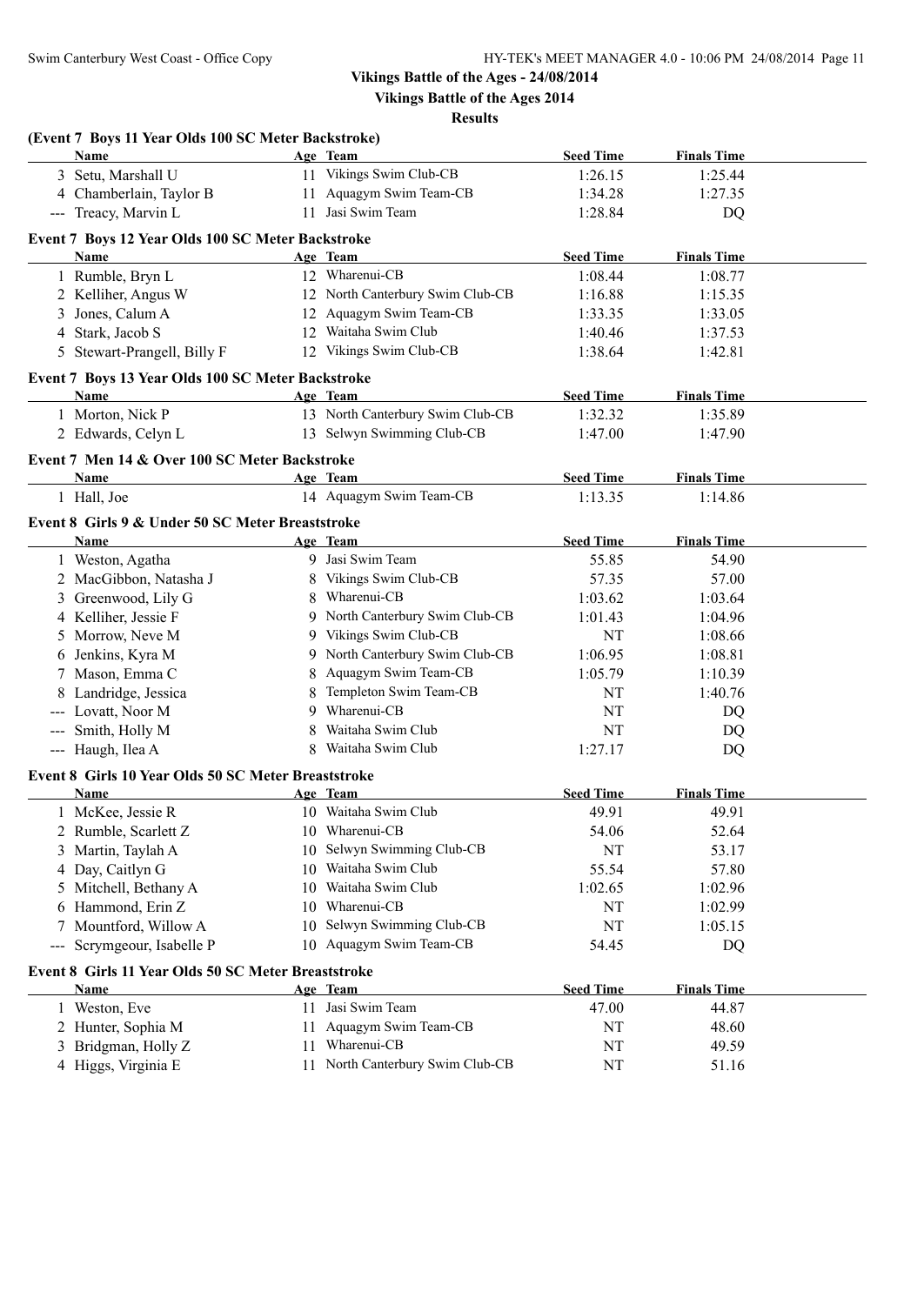|   | (Event 7 Boys 11 Year Olds 100 SC Meter Backstroke) |    |                                  |                  |                    |  |
|---|-----------------------------------------------------|----|----------------------------------|------------------|--------------------|--|
|   | <b>Name</b>                                         |    | Age Team                         | <b>Seed Time</b> | <b>Finals Time</b> |  |
|   | 3 Setu, Marshall U                                  |    | 11 Vikings Swim Club-CB          | 1:26.15          | 1:25.44            |  |
|   | 4 Chamberlain, Taylor B                             |    | 11 Aquagym Swim Team-CB          | 1:34.28          | 1:27.35            |  |
|   | --- Treacy, Marvin L                                |    | 11 Jasi Swim Team                | 1:28.84          | DQ                 |  |
|   | Event 7 Boys 12 Year Olds 100 SC Meter Backstroke   |    |                                  |                  |                    |  |
|   | Name                                                |    | Age Team                         | <b>Seed Time</b> | <b>Finals Time</b> |  |
|   | 1 Rumble, Bryn L                                    |    | 12 Wharenui-CB                   | 1:08.44          | 1:08.77            |  |
|   | 2 Kelliher, Angus W                                 |    | 12 North Canterbury Swim Club-CB | 1:16.88          | 1:15.35            |  |
| 3 | Jones, Calum A                                      |    | 12 Aquagym Swim Team-CB          | 1:33.35          | 1:33.05            |  |
| 4 | Stark, Jacob S                                      |    | 12 Waitaha Swim Club             | 1:40.46          | 1:37.53            |  |
|   | 5 Stewart-Prangell, Billy F                         |    | 12 Vikings Swim Club-CB          | 1:38.64          | 1:42.81            |  |
|   | Event 7 Boys 13 Year Olds 100 SC Meter Backstroke   |    |                                  |                  |                    |  |
|   | Name                                                |    | Age Team                         | <b>Seed Time</b> | <b>Finals Time</b> |  |
|   | 1 Morton, Nick P                                    |    | 13 North Canterbury Swim Club-CB | 1:32.32          | 1:35.89            |  |
|   | 2 Edwards, Celyn L                                  |    | 13 Selwyn Swimming Club-CB       | 1:47.00          | 1:47.90            |  |
|   | Event 7 Men 14 & Over 100 SC Meter Backstroke       |    |                                  |                  |                    |  |
|   | Name                                                |    | Age Team                         | <b>Seed Time</b> | <b>Finals Time</b> |  |
|   | 1 Hall, Joe                                         |    | 14 Aquagym Swim Team-CB          | 1:13.35          | 1:14.86            |  |
|   | Event 8 Girls 9 & Under 50 SC Meter Breaststroke    |    |                                  |                  |                    |  |
|   | Name                                                |    | Age Team                         | <b>Seed Time</b> | <b>Finals Time</b> |  |
|   | 1 Weston, Agatha                                    |    | 9 Jasi Swim Team                 | 55.85            | 54.90              |  |
|   | 2 MacGibbon, Natasha J                              |    | Vikings Swim Club-CB             | 57.35            | 57.00              |  |
| 3 | Greenwood, Lily G                                   |    | Wharenui-CB                      | 1:03.62          | 1:03.64            |  |
|   | 4 Kelliher, Jessie F                                |    | North Canterbury Swim Club-CB    | 1:01.43          | 1:04.96            |  |
| 5 | Morrow, Neve M                                      |    | 9 Vikings Swim Club-CB           | NT               | 1:08.66            |  |
| 6 | Jenkins, Kyra M                                     |    | 9 North Canterbury Swim Club-CB  | 1:06.95          | 1:08.81            |  |
|   | 7 Mason, Emma C                                     |    | Aquagym Swim Team-CB             | 1:05.79          | 1:10.39            |  |
| 8 | Landridge, Jessica                                  |    | Templeton Swim Team-CB           | NT               | 1:40.76            |  |
|   | --- Lovatt, Noor M                                  | 9  | Wharenui-CB                      | NT               | DQ                 |  |
|   | --- Smith, Holly M                                  |    | Waitaha Swim Club                | NT               | DQ                 |  |
|   | --- Haugh, Ilea A                                   |    | 8 Waitaha Swim Club              | 1:27.17          | <b>DQ</b>          |  |
|   |                                                     |    |                                  |                  |                    |  |
|   | Event 8 Girls 10 Year Olds 50 SC Meter Breaststroke |    |                                  |                  |                    |  |
|   | Name                                                |    | Age Team<br>10 Waitaha Swim Club | <b>Seed Time</b> | <b>Finals Time</b> |  |
|   | 1 McKee, Jessie R                                   |    |                                  | 49.91            | 49.91              |  |
|   | 2 Rumble, Scarlett Z                                |    | 10 Wharenui-CB                   | 54.06            | 52.64              |  |
| 3 | Martin, Taylah A                                    | 10 | Selwyn Swimming Club-CB          | NT               | 53.17              |  |
| 4 | Day, Caitlyn G                                      | 10 | Waitaha Swim Club                | 55.54            | 57.80              |  |
| 5 | Mitchell, Bethany A                                 | 10 | Waitaha Swim Club                | 1:02.65          | 1:02.96            |  |
| 6 | Hammond, Erin Z                                     | 10 | Wharenui-CB                      | NT               | 1:02.99            |  |
| 7 | Mountford, Willow A                                 |    | 10 Selwyn Swimming Club-CB       | NT               | 1:05.15            |  |
|   | --- Scrymgeour, Isabelle P                          |    | 10 Aquagym Swim Team-CB          | 54.45            | DQ                 |  |
|   | Event 8 Girls 11 Year Olds 50 SC Meter Breaststroke |    |                                  |                  |                    |  |
|   | <b>Name</b>                                         |    | Age Team                         | <b>Seed Time</b> | <b>Finals Time</b> |  |
|   | 1 Weston, Eve                                       |    | 11 Jasi Swim Team                | 47.00            | 44.87              |  |
|   | 2 Hunter, Sophia M                                  |    | 11 Aquagym Swim Team-CB          | NT               | 48.60              |  |
| 3 | Bridgman, Holly Z                                   |    | 11 Wharenui-CB                   | NT               | 49.59              |  |
|   | 4 Higgs, Virginia E                                 |    | 11 North Canterbury Swim Club-CB | NT               | 51.16              |  |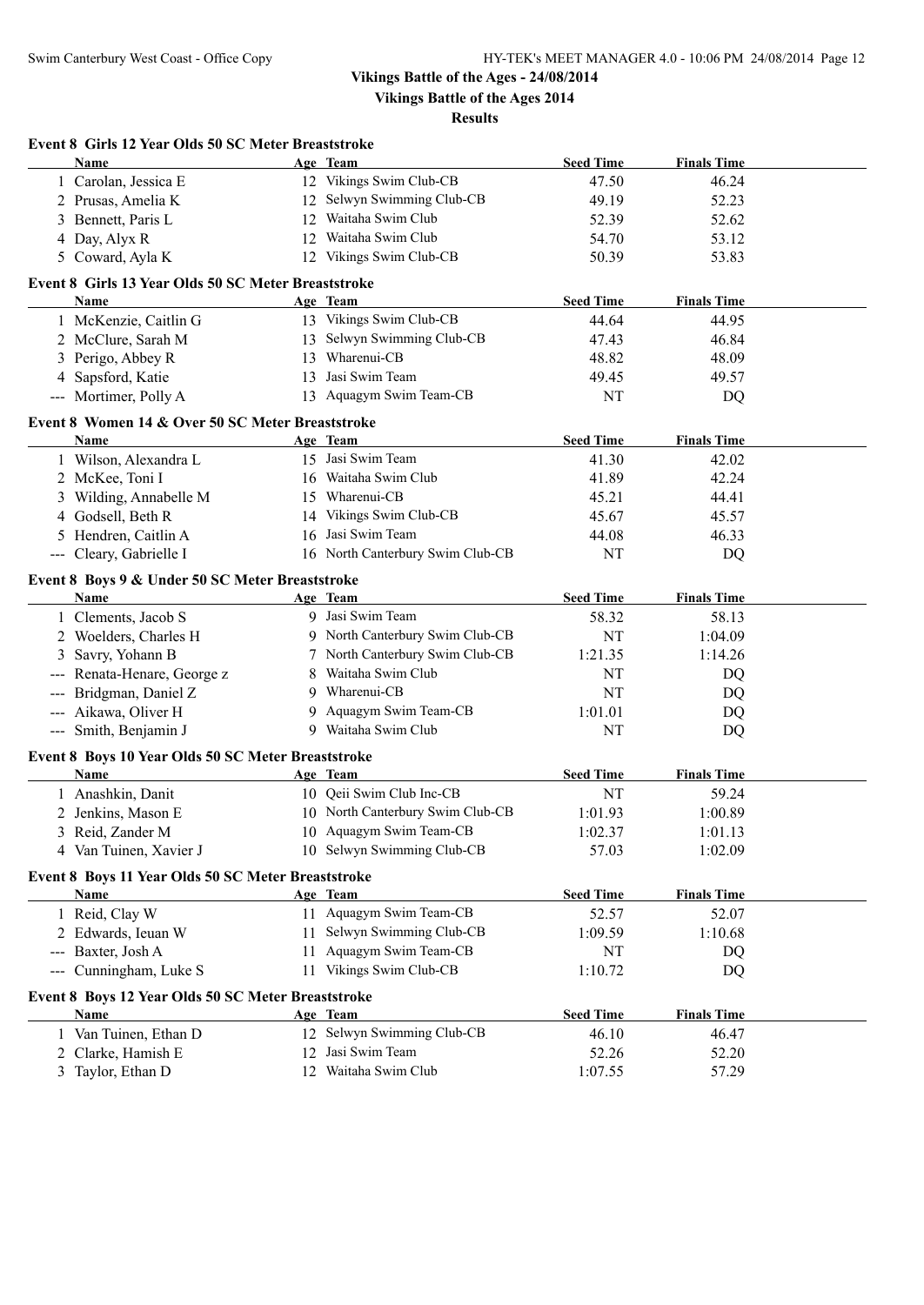| Event 8 Girls 12 Year Olds 50 SC Meter Breaststroke         |    |                                  |                  |                    |  |
|-------------------------------------------------------------|----|----------------------------------|------------------|--------------------|--|
| <b>Name</b>                                                 |    | Age Team                         | <b>Seed Time</b> | <b>Finals Time</b> |  |
| 1 Carolan, Jessica E                                        |    | 12 Vikings Swim Club-CB          | 47.50            | 46.24              |  |
| 2 Prusas, Amelia K                                          |    | 12 Selwyn Swimming Club-CB       | 49.19            | 52.23              |  |
| 3 Bennett, Paris L                                          |    | 12 Waitaha Swim Club             | 52.39            | 52.62              |  |
| 4 Day, Alyx R                                               |    | 12 Waitaha Swim Club             | 54.70            | 53.12              |  |
| 5 Coward, Ayla K                                            |    | 12 Vikings Swim Club-CB          | 50.39            | 53.83              |  |
|                                                             |    |                                  |                  |                    |  |
| Event 8 Girls 13 Year Olds 50 SC Meter Breaststroke<br>Name |    | Age Team                         | <b>Seed Time</b> | <b>Finals Time</b> |  |
| 1 McKenzie, Caitlin G                                       |    | 13 Vikings Swim Club-CB          | 44.64            | 44.95              |  |
| 2 McClure, Sarah M                                          |    | 13 Selwyn Swimming Club-CB       | 47.43            | 46.84              |  |
|                                                             |    | 13 Wharenui-CB                   |                  |                    |  |
| 3 Perigo, Abbey R                                           |    | 13 Jasi Swim Team                | 48.82            | 48.09              |  |
| 4 Sapsford, Katie                                           |    |                                  | 49.45            | 49.57              |  |
| --- Mortimer, Polly A                                       |    | 13 Aquagym Swim Team-CB          | NT               | DQ                 |  |
| Event 8 Women 14 & Over 50 SC Meter Breaststroke            |    |                                  |                  |                    |  |
| Name                                                        |    | Age Team                         | <b>Seed Time</b> | <b>Finals Time</b> |  |
| 1 Wilson, Alexandra L                                       |    | 15 Jasi Swim Team                | 41.30            | 42.02              |  |
| 2 McKee, Toni I                                             |    | 16 Waitaha Swim Club             | 41.89            | 42.24              |  |
| 3 Wilding, Annabelle M                                      |    | 15 Wharenui-CB                   | 45.21            | 44.41              |  |
| 4 Godsell, Beth R                                           |    | 14 Vikings Swim Club-CB          | 45.67            | 45.57              |  |
| 5 Hendren, Caitlin A                                        |    | 16 Jasi Swim Team                | 44.08            | 46.33              |  |
| --- Cleary, Gabrielle I                                     |    | 16 North Canterbury Swim Club-CB | NT               | DQ                 |  |
|                                                             |    |                                  |                  |                    |  |
| Event 8 Boys 9 & Under 50 SC Meter Breaststroke<br>Name     |    | Age Team                         | <b>Seed Time</b> | <b>Finals Time</b> |  |
| 1 Clements, Jacob S                                         |    | 9 Jasi Swim Team                 | 58.32            | 58.13              |  |
| 2 Woelders, Charles H                                       |    | 9 North Canterbury Swim Club-CB  | <b>NT</b>        | 1:04.09            |  |
|                                                             |    | 7 North Canterbury Swim Club-CB  |                  |                    |  |
| Savry, Yohann B<br>3                                        |    | Waitaha Swim Club                | 1:21.35          | 1:14.26            |  |
| Renata-Henare, George z<br>$\qquad \qquad - -$              | 8  |                                  | NT               | DQ                 |  |
| Bridgman, Daniel Z                                          |    | 9 Wharenui-CB                    | NT               | DQ                 |  |
| Aikawa, Oliver H                                            |    | 9 Aquagym Swim Team-CB           | 1:01.01          | DQ                 |  |
| --- Smith, Benjamin J                                       |    | 9 Waitaha Swim Club              | NT               | DQ                 |  |
| Event 8 Boys 10 Year Olds 50 SC Meter Breaststroke          |    |                                  |                  |                    |  |
| Name                                                        |    | Age Team                         | <b>Seed Time</b> | <b>Finals Time</b> |  |
| 1 Anashkin, Danit                                           |    | 10 Qeii Swim Club Inc-CB         | NT               | 59.24              |  |
| 2 Jenkins, Mason E                                          |    | 10 North Canterbury Swim Club-CB | 1:01.93          | 1:00.89            |  |
| 3 Reid, Zander M                                            |    | 10 Aquagym Swim Team-CB          | 1:02.37          | 1:01.13            |  |
| 4 Van Tuinen, Xavier J                                      |    | 10 Selwyn Swimming Club-CB       | 57.03            | 1:02.09            |  |
| Event 8 Boys 11 Year Olds 50 SC Meter Breaststroke          |    |                                  |                  |                    |  |
| Name                                                        |    | Age Team                         | <b>Seed Time</b> | <b>Finals Time</b> |  |
| 1 Reid, Clay W                                              |    | 11 Aquagym Swim Team-CB          | 52.57            | 52.07              |  |
| 2 Edwards, Ieuan W                                          | 11 | Selwyn Swimming Club-CB          | 1:09.59          | 1:10.68            |  |
|                                                             |    | Aquagym Swim Team-CB             |                  |                    |  |
| Baxter, Josh A                                              | 11 |                                  | NT               | DQ                 |  |
| Cunningham, Luke S<br>$--$                                  |    | 11 Vikings Swim Club-CB          | 1:10.72          | <b>DQ</b>          |  |
| Event 8 Boys 12 Year Olds 50 SC Meter Breaststroke          |    |                                  |                  |                    |  |
| Name                                                        |    | Age Team                         | <b>Seed Time</b> | <b>Finals Time</b> |  |
| 1 Van Tuinen, Ethan D                                       |    | 12 Selwyn Swimming Club-CB       | 46.10            | 46.47              |  |
| 2 Clarke, Hamish E                                          |    | 12 Jasi Swim Team                | 52.26            | 52.20              |  |
| 3 Taylor, Ethan D                                           |    | 12 Waitaha Swim Club             | 1:07.55          | 57.29              |  |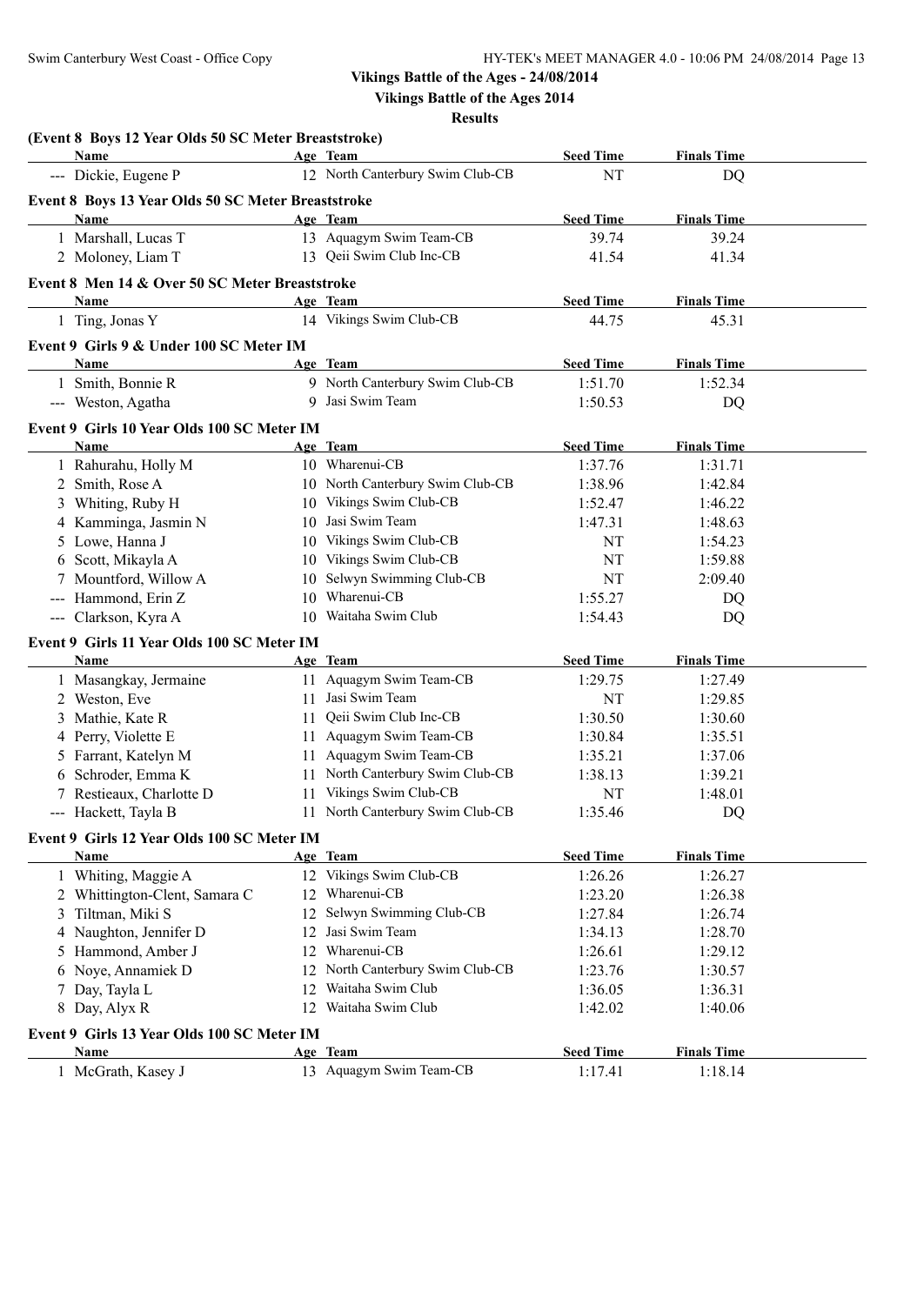**Vikings Battle of the Ages 2014**

| (Event 8 Boys 12 Year Olds 50 SC Meter Breaststroke)<br><b>Name</b> |    | Age Team                                            | <b>Seed Time</b> | <b>Finals Time</b> |  |
|---------------------------------------------------------------------|----|-----------------------------------------------------|------------------|--------------------|--|
| --- Dickie, Eugene P                                                |    | 12 North Canterbury Swim Club-CB                    | NT               | DQ                 |  |
|                                                                     |    |                                                     |                  |                    |  |
| Event 8 Boys 13 Year Olds 50 SC Meter Breaststroke                  |    |                                                     |                  |                    |  |
| Name                                                                |    | Age Team                                            | <b>Seed Time</b> | <b>Finals Time</b> |  |
| 1 Marshall, Lucas T                                                 |    | 13 Aquagym Swim Team-CB<br>13 Qeii Swim Club Inc-CB | 39.74            | 39.24              |  |
| 2 Moloney, Liam T                                                   |    |                                                     | 41.54            | 41.34              |  |
| Event 8 Men 14 & Over 50 SC Meter Breaststroke                      |    |                                                     |                  |                    |  |
| Name                                                                |    | Age Team                                            | <b>Seed Time</b> | <b>Finals Time</b> |  |
| 1 Ting, Jonas Y                                                     |    | 14 Vikings Swim Club-CB                             | 44.75            | 45.31              |  |
| Event 9 Girls 9 & Under 100 SC Meter IM                             |    |                                                     |                  |                    |  |
| Name                                                                |    | Age Team                                            | <b>Seed Time</b> | <b>Finals Time</b> |  |
| 1 Smith, Bonnie R                                                   |    | 9 North Canterbury Swim Club-CB                     | 1:51.70          | 1:52.34            |  |
| --- Weston, Agatha                                                  |    | 9 Jasi Swim Team                                    | 1:50.53          | DQ                 |  |
| Event 9 Girls 10 Year Olds 100 SC Meter IM                          |    |                                                     |                  |                    |  |
| Name                                                                |    | Age Team                                            | <b>Seed Time</b> | <b>Finals Time</b> |  |
| 1 Rahurahu, Holly M                                                 |    | 10 Wharenui-CB                                      | 1:37.76          | 1:31.71            |  |
| 2 Smith, Rose A                                                     |    | 10 North Canterbury Swim Club-CB                    | 1:38.96          | 1:42.84            |  |
| 3 Whiting, Ruby H                                                   |    | 10 Vikings Swim Club-CB                             | 1:52.47          | 1:46.22            |  |
| 4 Kamminga, Jasmin N                                                |    | 10 Jasi Swim Team                                   | 1:47.31          | 1:48.63            |  |
| 5 Lowe, Hanna J                                                     |    | 10 Vikings Swim Club-CB                             | NT               | 1:54.23            |  |
| 6 Scott, Mikayla A                                                  |    | 10 Vikings Swim Club-CB                             | NT               | 1:59.88            |  |
| 7 Mountford, Willow A                                               |    | 10 Selwyn Swimming Club-CB                          | NT               | 2:09.40            |  |
| Hammond, Erin Z                                                     | 10 | Wharenui-CB                                         | 1:55.27          | DQ                 |  |
| --- Clarkson, Kyra A                                                |    | 10 Waitaha Swim Club                                | 1:54.43          | DQ                 |  |
| Event 9 Girls 11 Year Olds 100 SC Meter IM                          |    |                                                     |                  |                    |  |
| Name                                                                |    | Age Team                                            | <b>Seed Time</b> | <b>Finals Time</b> |  |
| 1 Masangkay, Jermaine                                               |    | 11 Aquagym Swim Team-CB                             | 1:29.75          | 1:27.49            |  |
| 2 Weston, Eve                                                       |    | 11 Jasi Swim Team                                   | NT               | 1:29.85            |  |
| 3 Mathie, Kate R                                                    | 11 | Qeii Swim Club Inc-CB                               | 1:30.50          | 1:30.60            |  |
| 4 Perry, Violette E                                                 |    | 11 Aquagym Swim Team-CB                             | 1:30.84          | 1:35.51            |  |
| 5 Farrant, Katelyn M                                                |    | 11 Aquagym Swim Team-CB                             | 1:35.21          | 1:37.06            |  |
| 6 Schroder, Emma K                                                  |    | 11 North Canterbury Swim Club-CB                    | 1:38.13          | 1:39.21            |  |
| 7 Restieaux, Charlotte D                                            |    | 11 Vikings Swim Club-CB                             | NT               | 1:48.01            |  |
| --- Hackett, Tayla B                                                |    | 11 North Canterbury Swim Club-CB                    | 1:35.46          | D <sub>O</sub>     |  |
|                                                                     |    |                                                     |                  |                    |  |
| Event 9 Girls 12 Year Olds 100 SC Meter IM<br>Name                  |    | Age Team                                            | <b>Seed Time</b> | <b>Finals Time</b> |  |
| 1 Whiting, Maggie A                                                 |    | 12 Vikings Swim Club-CB                             | 1:26.26          | 1:26.27            |  |
| 2 Whittington-Clent, Samara C                                       | 12 | Wharenui-CB                                         | 1:23.20          | 1:26.38            |  |
| 3 Tiltman, Miki S                                                   | 12 | Selwyn Swimming Club-CB                             | 1:27.84          | 1:26.74            |  |
| 4 Naughton, Jennifer D                                              | 12 | Jasi Swim Team                                      | 1:34.13          | 1:28.70            |  |
| 5 Hammond, Amber J                                                  | 12 | Wharenui-CB                                         | 1:26.61          | 1:29.12            |  |
| 6 Noye, Annamiek D                                                  |    | 12 North Canterbury Swim Club-CB                    | 1:23.76          | 1:30.57            |  |
| 7 Day, Tayla L                                                      |    | 12 Waitaha Swim Club                                | 1:36.05          | 1:36.31            |  |
| 8 Day, Alyx R                                                       |    | 12 Waitaha Swim Club                                | 1:42.02          | 1:40.06            |  |
|                                                                     |    |                                                     |                  |                    |  |
| Event 9 Girls 13 Year Olds 100 SC Meter IM                          |    |                                                     |                  |                    |  |
| <b>Name</b>                                                         |    | Age Team                                            | <b>Seed Time</b> | <b>Finals Time</b> |  |
| 1 McGrath, Kasey J                                                  |    | 13 Aquagym Swim Team-CB                             | 1:17.41          | 1:18.14            |  |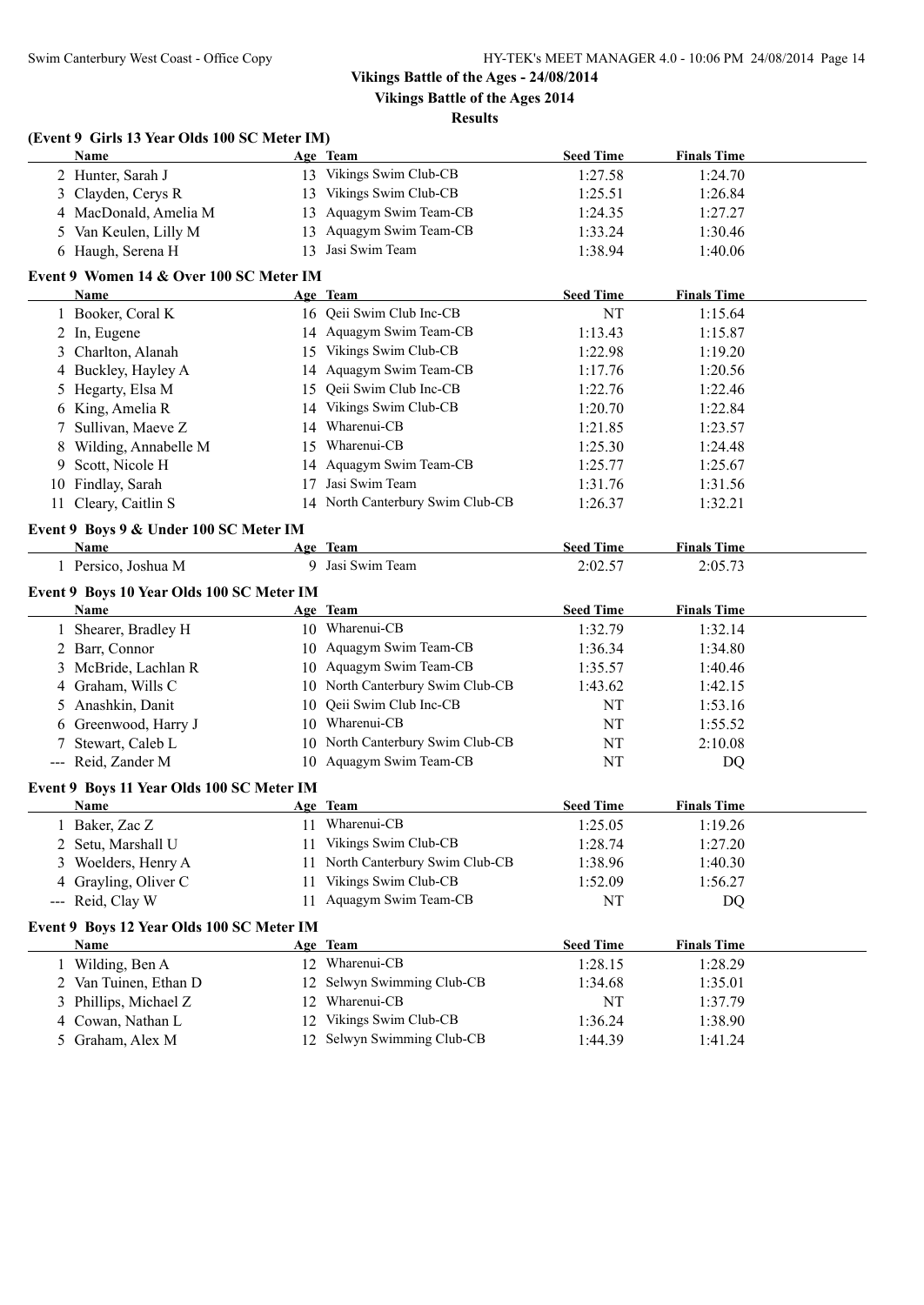# **Vikings Battle of the Ages 2014**

|                  | (Event 9 Girls 13 Year Olds 100 SC Meter IM) |    |                                  |                  |                    |  |
|------------------|----------------------------------------------|----|----------------------------------|------------------|--------------------|--|
| <b>Name</b>      |                                              |    | Age Team                         | <b>Seed Time</b> | <b>Finals Time</b> |  |
|                  | 2 Hunter, Sarah J                            |    | 13 Vikings Swim Club-CB          | 1:27.58          | 1:24.70            |  |
|                  | 3 Clayden, Cerys R                           |    | 13 Vikings Swim Club-CB          | 1:25.51          | 1:26.84            |  |
|                  | 4 MacDonald, Amelia M                        |    | 13 Aquagym Swim Team-CB          | 1:24.35          | 1:27.27            |  |
|                  | 5 Van Keulen, Lilly M                        |    | 13 Aquagym Swim Team-CB          | 1:33.24          | 1:30.46            |  |
|                  | 6 Haugh, Serena H                            |    | 13 Jasi Swim Team                | 1:38.94          | 1:40.06            |  |
|                  | Event 9 Women 14 & Over 100 SC Meter IM      |    |                                  |                  |                    |  |
| Name             |                                              |    | Age Team                         | <b>Seed Time</b> | <b>Finals Time</b> |  |
|                  | 1 Booker, Coral K                            |    | 16 Qeii Swim Club Inc-CB         | NT               | 1:15.64            |  |
| 2 In, Eugene     |                                              |    | 14 Aquagym Swim Team-CB          | 1:13.43          | 1:15.87            |  |
|                  | 3 Charlton, Alanah                           |    | 15 Vikings Swim Club-CB          | 1:22.98          | 1:19.20            |  |
|                  | 4 Buckley, Hayley A                          |    | 14 Aquagym Swim Team-CB          | 1:17.76          | 1:20.56            |  |
|                  | 5 Hegarty, Elsa M                            |    | 15 Qeii Swim Club Inc-CB         | 1:22.76          | 1:22.46            |  |
|                  | 6 King, Amelia R                             |    | 14 Vikings Swim Club-CB          | 1:20.70          | 1:22.84            |  |
| 7                | Sullivan, Maeve Z                            |    | 14 Wharenui-CB                   | 1:21.85          | 1:23.57            |  |
|                  | 8 Wilding, Annabelle M                       |    | 15 Wharenui-CB                   | 1:25.30          | 1:24.48            |  |
|                  | 9 Scott, Nicole H                            |    | 14 Aquagym Swim Team-CB          | 1:25.77          | 1:25.67            |  |
|                  | 10 Findlay, Sarah                            |    | 17 Jasi Swim Team                | 1:31.76          | 1:31.56            |  |
|                  | 11 Cleary, Caitlin S                         |    | 14 North Canterbury Swim Club-CB | 1:26.37          | 1:32.21            |  |
|                  |                                              |    |                                  |                  |                    |  |
|                  | Event 9 Boys 9 & Under 100 SC Meter IM       |    |                                  |                  |                    |  |
| Name             |                                              |    | Age Team                         | <b>Seed Time</b> | <b>Finals Time</b> |  |
|                  | 1 Persico, Joshua M                          |    | 9 Jasi Swim Team                 | 2:02.57          | 2:05.73            |  |
|                  | Event 9 Boys 10 Year Olds 100 SC Meter IM    |    |                                  |                  |                    |  |
| Name             |                                              |    | Age Team                         | <b>Seed Time</b> | <b>Finals Time</b> |  |
|                  | 1 Shearer, Bradley H                         |    | 10 Wharenui-CB                   | 1:32.79          | 1:32.14            |  |
|                  | 2 Barr, Connor                               |    | 10 Aquagym Swim Team-CB          | 1:36.34          | 1:34.80            |  |
|                  | 3 McBride, Lachlan R                         |    | 10 Aquagym Swim Team-CB          | 1:35.57          | 1:40.46            |  |
|                  | 4 Graham, Wills C                            |    | 10 North Canterbury Swim Club-CB | 1:43.62          | 1:42.15            |  |
| 5                | Anashkin, Danit                              | 10 | Qeii Swim Club Inc-CB            | NT               | 1:53.16            |  |
|                  | 6 Greenwood, Harry J                         |    | 10 Wharenui-CB                   | NT               | 1:55.52            |  |
|                  | Stewart, Caleb L                             |    | 10 North Canterbury Swim Club-CB | NT               | 2:10.08            |  |
|                  | --- Reid, Zander M                           |    | 10 Aquagym Swim Team-CB          | NT               | DQ                 |  |
|                  |                                              |    |                                  |                  |                    |  |
| Name             | Event 9 Boys 11 Year Olds 100 SC Meter IM    |    | Age Team                         | <b>Seed Time</b> | <b>Finals Time</b> |  |
|                  | 1 Baker, Zac Z                               |    | 11 Wharenui-CB                   | 1:25.05          | 1:19.26            |  |
| 2                | Setu, Marshall U                             | 11 | Vikings Swim Club-CB             | 1:28.74          | 1:27.20            |  |
|                  | Woelders, Henry A                            | 11 | North Canterbury Swim Club-CB    |                  |                    |  |
| 3                |                                              |    | Vikings Swim Club-CB             | 1:38.96          | 1:40.30            |  |
|                  | 4 Grayling, Oliver C                         | 11 | Aquagym Swim Team-CB             | 1:52.09          | 1:56.27            |  |
| --- Reid, Clay W |                                              | 11 |                                  | NT               | DQ                 |  |
|                  | Event 9 Boys 12 Year Olds 100 SC Meter IM    |    |                                  |                  |                    |  |
| Name             |                                              |    | Age Team                         | <b>Seed Time</b> | <b>Finals Time</b> |  |
|                  | 1 Wilding, Ben A                             |    | 12 Wharenui-CB                   | 1:28.15          | 1:28.29            |  |
|                  | 2 Van Tuinen, Ethan D                        | 12 | Selwyn Swimming Club-CB          | 1:34.68          | 1:35.01            |  |
| 3                | Phillips, Michael Z                          |    | 12 Wharenui-CB                   | NT               | 1:37.79            |  |
|                  | 4 Cowan, Nathan L                            | 12 | Vikings Swim Club-CB             | 1:36.24          | 1:38.90            |  |
|                  | 5 Graham, Alex M                             |    | 12 Selwyn Swimming Club-CB       | 1:44.39          | 1:41.24            |  |
|                  |                                              |    |                                  |                  |                    |  |